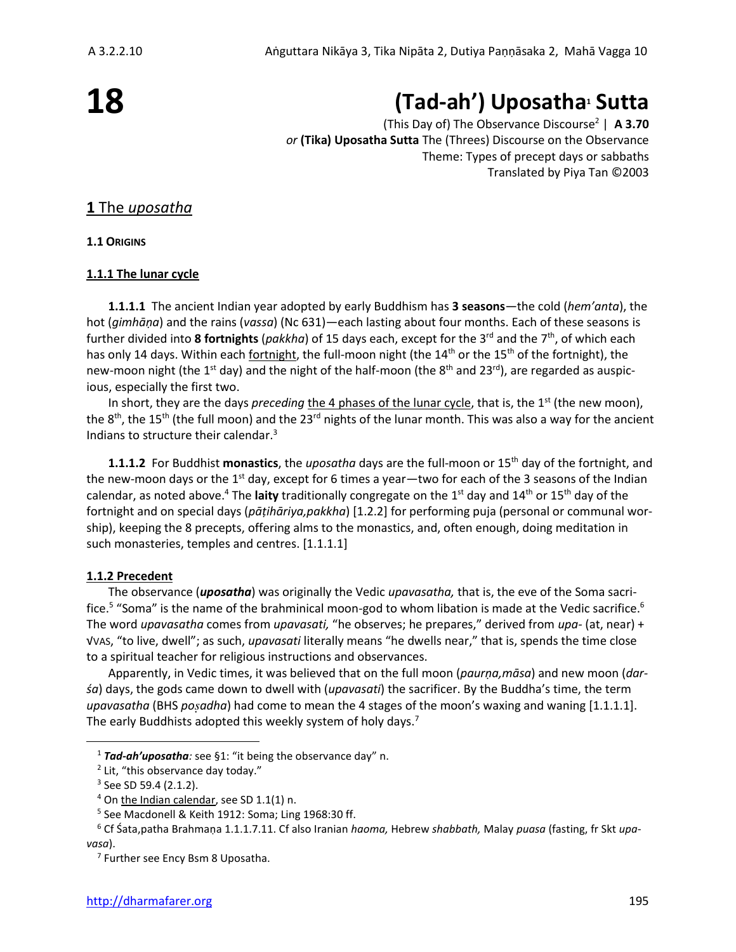# **18**

# **(Tad-ah') Uposatha<sup>1</sup> Sutta**

(This Day of) The Observance Discourse<sup>2</sup> | **A 3.70** *or* **(Tika) Uposatha Sutta** The (Threes) Discourse on the Observance Theme: Types of precept days or sabbaths Translated by Piya Tan ©2003

# **1** The *uposatha*

**1.1 ORIGINS**

# **1.1.1 The lunar cycle**

**1.1.1.1** The ancient Indian year adopted by early Buddhism has **3 seasons**—the cold (*hem'anta*), the hot (*gimhāṇa*) and the rains (*vassa*) (Nc 631)—each lasting about four months. Each of these seasons is further divided into 8 fortnights (pakkha) of 15 days each, except for the 3<sup>rd</sup> and the 7<sup>th</sup>, of which each has only 14 days. Within each fortnight, the full-moon night (the  $14<sup>th</sup>$  or the 15<sup>th</sup> of the fortnight), the new-moon night (the 1<sup>st</sup> day) and the night of the half-moon (the 8<sup>th</sup> and 23<sup>rd</sup>), are regarded as auspicious, especially the first two.

In short, they are the days *preceding* the 4 phases of the lunar cycle, that is, the 1<sup>st</sup> (the new moon), the  $8<sup>th</sup>$ , the 15<sup>th</sup> (the full moon) and the 23<sup>rd</sup> nights of the lunar month. This was also a way for the ancient Indians to structure their calendar.<sup>3</sup>

**1.1.1.2** For Buddhist **monastics**, the *uposatha* days are the full-moon or 15th day of the fortnight, and the new-moon days or the 1<sup>st</sup> day, except for 6 times a year—two for each of the 3 seasons of the Indian calendar, as noted above.<sup>4</sup> The laity traditionally congregate on the 1<sup>st</sup> day and 14<sup>th</sup> or 15<sup>th</sup> day of the fortnight and on special days (*pāṭihāriya,pakkha*) [1.2.2] for performing puja (personal or communal worship), keeping the 8 precepts, offering alms to the monastics, and, often enough, doing meditation in such monasteries, temples and centres. [1.1.1.1]

# **1.1.2 Precedent**

The observance (*uposatha*) was originally the Vedic *upavasatha,* that is, the eve of the Soma sacrifice.<sup>5</sup> "Soma" is the name of the brahminical moon-god to whom libation is made at the Vedic sacrifice.<sup>6</sup> The word *upavasatha* comes from *upavasati,* "he observes; he prepares," derived from *upa-* (at, near) + √VAS, "to live, dwell"; as such, *upavasati* literally means "he dwells near," that is, spends the time close to a spiritual teacher for religious instructions and observances.

Apparently, in Vedic times, it was believed that on the full moon (*paurṇa,māsa*) and new moon (*darśa*) days, the gods came down to dwell with (*upavasati*) the sacrificer. By the Buddha's time, the term *upavasatha* (BHS *poadha*) had come to mean the 4 stages of the moon's waxing and waning [1.1.1.1]. The early Buddhists adopted this weekly system of holy days.<sup>7</sup>

<sup>1</sup> *Tad-ah'uposatha:* see §1: "it being the observance day" n.

<sup>&</sup>lt;sup>2</sup> Lit, "this observance day today."

<sup>&</sup>lt;sup>3</sup> See SD 59.4 (2.1.2).

<sup>4</sup> On the Indian calendar, see SD 1.1(1) n.

<sup>5</sup> See Macdonell & Keith 1912: Soma; Ling 1968:30 ff.

<sup>6</sup> Cf Śata,patha Brahmaṇa 1.1.1.7.11. Cf also Iranian *haoma,* Hebrew *shabbath,* Malay *puasa* (fasting, fr Skt *upavasa*).

<sup>&</sup>lt;sup>7</sup> Further see Ency Bsm 8 Uposatha.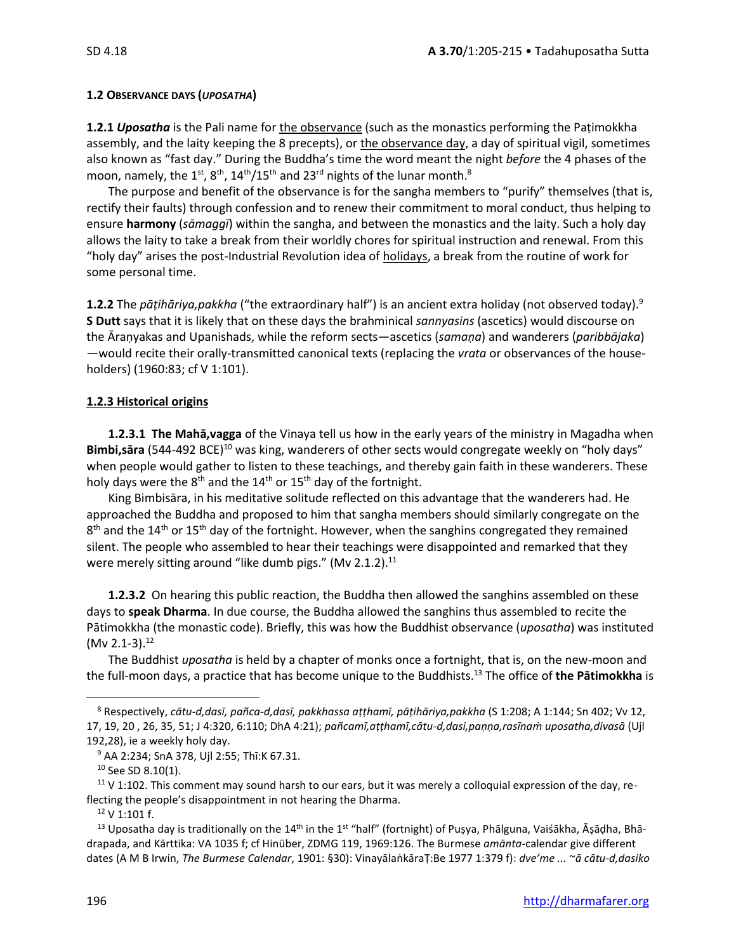### **1.2 OBSERVANCE DAYS (***UPOSATHA***)**

**1.2.1** *Uposatha* is the Pali name for the observance (such as the monastics performing the Paṭimokkha assembly, and the laity keeping the 8 precepts), or the observance day, a day of spiritual vigil, sometimes also known as "fast day." During the Buddha's time the word meant the night *before* the 4 phases of the moon, namely, the 1<sup>st</sup>, 8<sup>th</sup>, 14<sup>th</sup>/15<sup>th</sup> and 23<sup>rd</sup> nights of the lunar month.<sup>8</sup>

The purpose and benefit of the observance is for the sangha members to "purify" themselves (that is, rectify their faults) through confession and to renew their commitment to moral conduct, thus helping to ensure **harmony** (*sāmaggī*) within the sangha, and between the monastics and the laity. Such a holy day allows the laity to take a break from their worldly chores for spiritual instruction and renewal. From this "holy day" arises the post-Industrial Revolution idea of holidays, a break from the routine of work for some personal time.

**1.2.2** The *pāṭihāriya,pakkha* ("the extraordinary half") is an ancient extra holiday (not observed today).<sup>9</sup> **S Dutt** says that it is likely that on these days the brahminical *sannyasins* (ascetics) would discourse on the Āraṇyakas and Upanishads, while the reform sects—ascetics (*samaṇa*) and wanderers (*paribbājaka*) —would recite their orally-transmitted canonical texts (replacing the *vrata* or observances of the householders) (1960:83; cf V 1:101).

# **1.2.3 Historical origins**

**1.2.3.1 The Mahā,vagga** of the Vinaya tell us how in the early years of the ministry in Magadha when Bimbi,sara (544-492 BCE)<sup>10</sup> was king, wanderers of other sects would congregate weekly on "holy days" when people would gather to listen to these teachings, and thereby gain faith in these wanderers. These holy days were the  $8<sup>th</sup>$  and the  $14<sup>th</sup>$  or  $15<sup>th</sup>$  day of the fortnight.

King Bimbisāra, in his meditative solitude reflected on this advantage that the wanderers had. He approached the Buddha and proposed to him that sangha members should similarly congregate on the 8<sup>th</sup> and the 14<sup>th</sup> or 15<sup>th</sup> day of the fortnight. However, when the sanghins congregated they remained silent. The people who assembled to hear their teachings were disappointed and remarked that they were merely sitting around "like dumb pigs." (Mv 2.1.2).<sup>11</sup>

**1.2.3.2** On hearing this public reaction, the Buddha then allowed the sanghins assembled on these days to **speak Dharma**. In due course, the Buddha allowed the sanghins thus assembled to recite the Pātimokkha (the monastic code). Briefly, this was how the Buddhist observance (*uposatha*) was instituted (Mv 2.1-3). 12

The Buddhist *uposatha* is held by a chapter of monks once a fortnight, that is, on the new-moon and the full-moon days, a practice that has become unique to the Buddhists. <sup>13</sup> The office of **the Pātimokkha** is

 $11$  V 1:102. This comment may sound harsh to our ears, but it was merely a colloquial expression of the day, reflecting the people's disappointment in not hearing the Dharma.

 $12$  V 1:101 f.

<sup>8</sup> Respectively, *cātu-d,dasī, pañca-d,dasī, pakkhassa aṭṭhamī, pāṭihāriya,pakkha* (S 1:208; A 1:144; Sn 402; Vv 12, 17, 19, 20 , 26, 35, 51; J 4:320, 6:110; DhA 4:21); *pañcamī,aṭṭhamī,cātu-d,dasi,paṇṇa,rasīnaṁ uposatha,divasā* (Ujl 192,28), ie a weekly holy day.

<sup>9</sup> AA 2:234; SnA 378, Ujl 2:55; Thī:K 67.31.

<sup>&</sup>lt;sup>10</sup> See SD 8.10(1).

<sup>&</sup>lt;sup>13</sup> Uposatha day is traditionally on the 14<sup>th</sup> in the 1<sup>st "</sup>half" (fortnight) of Puṣya, Phālguna, Vaiśākha, Āṣāḍha, Bhādrapada, and Kārttika: VA 1035 f; cf Hinüber, ZDMG 119, 1969:126. The Burmese *amānta*-calendar give different dates (A M B Irwin, *The Burmese Calendar*, 1901: §30): VinayālaṅkāraṬ:Be 1977 1:379 f): *dve'me ...* ~*ā cātu-d,dasiko*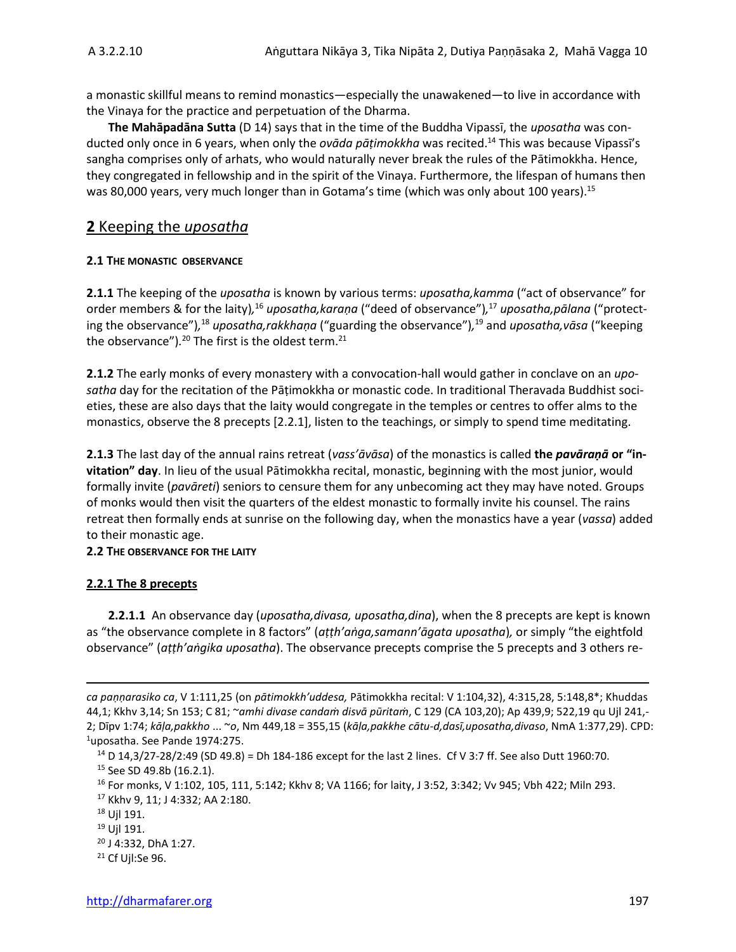a monastic skillful means to remind monastics—especially the unawakened—to live in accordance with the Vinaya for the practice and perpetuation of the Dharma.

**The Mahāpadāna Sutta** (D 14) says that in the time of the Buddha Vipassī, the *uposatha* was conducted only once in 6 years, when only the *ovāda pāṭimokkha* was recited. <sup>14</sup> This was because Vipassī's sangha comprises only of arhats, who would naturally never break the rules of the Pātimokkha. Hence, they congregated in fellowship and in the spirit of the Vinaya. Furthermore, the lifespan of humans then was 80,000 years, very much longer than in Gotama's time (which was only about 100 years).<sup>15</sup>

# **2** Keeping the *uposatha*

### **2.1 THE MONASTIC OBSERVANCE**

**2.1.1** The keeping of the *uposatha* is known by various terms: *uposatha,kamma* ("act of observance" for order members & for the laity)*,* <sup>16</sup> *uposatha,karaṇa* ("deed of observance")*,* <sup>17</sup> *uposatha,pālana* ("protecting the observance")*,* <sup>18</sup> *uposatha,rakkhaṇa* ("guarding the observance")*,* <sup>19</sup> and *uposatha,vāsa* ("keeping the observance").<sup>20</sup> The first is the oldest term.<sup>21</sup>

**2.1.2** The early monks of every monastery with a convocation-hall would gather in conclave on an *uposatha* day for the recitation of the Pāṭimokkha or monastic code. In traditional Theravada Buddhist societies, these are also days that the laity would congregate in the temples or centres to offer alms to the monastics, observe the 8 precepts [2.2.1], listen to the teachings, or simply to spend time meditating.

**2.1.3** The last day of the annual rains retreat (*vass'āvāsa*) of the monastics is called **the** *pavāraṇā* **or "invitation" day**. In lieu of the usual Pātimokkha recital, monastic, beginning with the most junior, would formally invite (*pavāreti*) seniors to censure them for any unbecoming act they may have noted. Groups of monks would then visit the quarters of the eldest monastic to formally invite his counsel. The rains retreat then formally ends at sunrise on the following day, when the monastics have a year (*vassa*) added to their monastic age.

#### **2.2 THE OBSERVANCE FOR THE LAITY**

#### **2.2.1 The 8 precepts**

**2.2.1.1** An observance day (*uposatha,divasa, uposatha,dina*), when the 8 precepts are kept is known as "the observance complete in 8 factors" (*aṭṭh'aṅga,samann'āgata uposatha*)*,* or simply "the eightfold observance" (*aṭṭh'aṅgika uposatha*). The observance precepts comprise the 5 precepts and 3 others re-

*ca paṇṇarasiko ca*, V 1:111,25 (on *pātimokkh'uddesa,* Pātimokkha recital: V 1:104,32), 4:315,28, 5:148,8\*; Khuddas 44,1; Kkhv 3,14; Sn 153; C 81; ~*amhi divase candaṁ disvā pūritaṁ*, C 129 (CA 103,20); Ap 439,9; 522,19 qu Ujl 241,- 2; Dīpv 1:74; *kāḷa,pakkho* ... ~*o*, Nm 449,18 = 355,15 (*kāḷa,pakkhe cātu-d,dasī,uposatha,divaso*, NmA 1:377,29). CPD:  $1$ uposatha. See Pande 1974:275.

<sup>&</sup>lt;sup>14</sup> D 14,3/27-28/2:49 (SD 49.8) = Dh 184-186 except for the last 2 lines. Cf V 3:7 ff. See also Dutt 1960:70. <sup>15</sup> See SD 49.8b (16.2.1).

<sup>16</sup> For monks, V 1:102, 105, 111, 5:142; Kkhv 8; VA 1166; for laity, J 3:52, 3:342; Vv 945; Vbh 422; Miln 293. <sup>17</sup> Kkhv 9, 11; J 4:332; AA 2:180.

<sup>18</sup> Ujl 191. <sup>19</sup> Ujl 191.

<sup>20</sup> J 4:332, DhA 1:27.

<sup>21</sup> Cf Ujl:Se 96.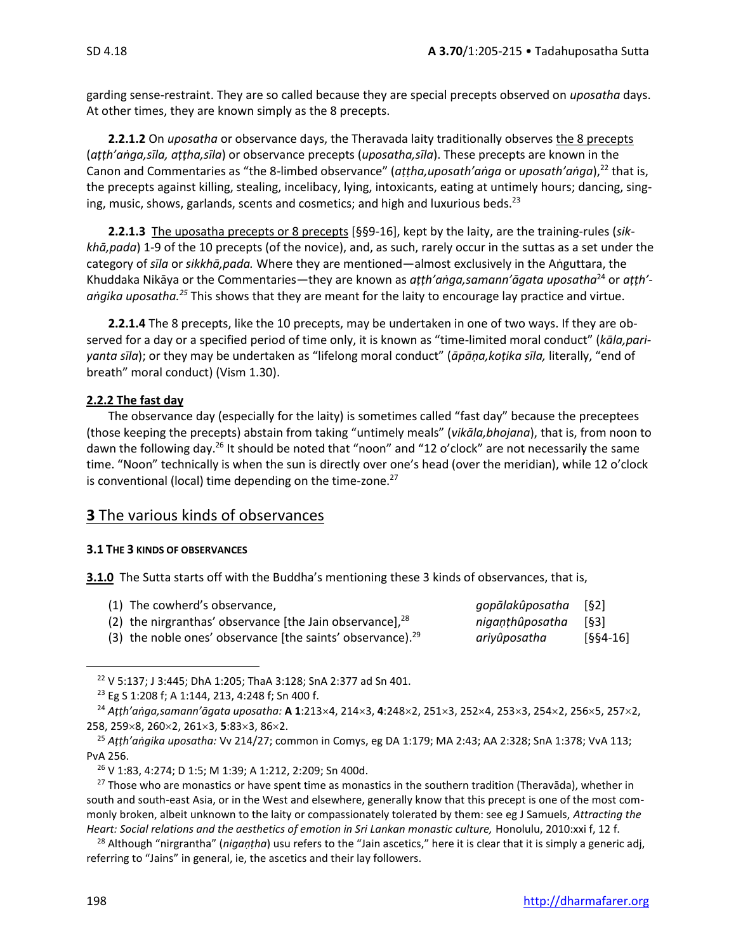garding sense-restraint. They are so called because they are special precepts observed on *uposatha* days. At other times, they are known simply as the 8 precepts.

**2.2.1.2** On *uposatha* or observance days, the Theravada laity traditionally observes the 8 precepts (*aṭṭh'aṅga,sīla, aṭṭha,sīla*) or observance precepts (*uposatha,sīla*). These precepts are known in the Canon and Commentaries as "the 8-limbed observance" (*aṭṭha,uposath'aṅga* or *uposath'aṅga*),<sup>22</sup> that is, the precepts against killing, stealing, incelibacy, lying, intoxicants, eating at untimely hours; dancing, singing, music, shows, garlands, scents and cosmetics; and high and luxurious beds. $^{23}$ 

**2.2.1.3** The uposatha precepts or 8 precepts [§§9-16], kept by the laity, are the training-rules (*sikkhā,pada*) 1-9 of the 10 precepts (of the novice), and, as such, rarely occur in the suttas as a set under the category of *sīla* or *sikkhā,pada.* Where they are mentioned—almost exclusively in the Aṅguttara, the Khuddaka Nikāya or the Commentaries—they are known as *aṭṭh'aṅga,samann'āgata uposatha*<sup>24</sup> or *aṭṭh' aṅgika uposatha. <sup>25</sup>* This shows that they are meant for the laity to encourage lay practice and virtue.

**2.2.1.4** The 8 precepts, like the 10 precepts, may be undertaken in one of two ways. If they are observed for a day or a specified period of time only, it is known as "time-limited moral conduct" (*kāla,pariyanta sīla*); or they may be undertaken as "lifelong moral conduct" (*āpāṇa,koṭika sīla,* literally, "end of breath" moral conduct) (Vism 1.30).

# **2.2.2 The fast day**

The observance day (especially for the laity) is sometimes called "fast day" because the preceptees (those keeping the precepts) abstain from taking "untimely meals" (*vikāla,bhojana*), that is, from noon to dawn the following day.<sup>26</sup> It should be noted that "noon" and "12 o'clock" are not necessarily the same time. "Noon" technically is when the sun is directly over one's head (over the meridian), while 12 o'clock is conventional (local) time depending on the time-zone.<sup>27</sup>

# **3** The various kinds of observances

#### **3.1 THE 3 KINDS OF OBSERVANCES**

**3.1.0** The Sutta starts off with the Buddha's mentioning these 3 kinds of observances, that is,

| (1) The cowherd's observance,                                 | qopālakûposatha [§2] |            |
|---------------------------------------------------------------|----------------------|------------|
| (2) the nirgranthas' observance [the Jain observance], $28$   | nigaṇṭhûposatha [§3] |            |
| (3) the noble ones' observance [the saints' observance). $29$ | ariyûposatha         | $[§§4-16]$ |

<sup>22</sup> V 5:137; J 3:445; DhA 1:205; ThaA 3:128; SnA 2:377 ad Sn 401.

<sup>23</sup> Eg S 1:208 f; A 1:144, 213, 4:248 f; Sn 400 f.

<sup>&</sup>lt;sup>24</sup> Atth'anga,samann'āgata uposatha: **A 1**:213×4, 214×3, 4:248×2, 251×3, 252×4, 253×3, 254×2, 256×5, 257×2, 258, 259×8, 260×2, 261×3, 5:83×3, 86×2.

<sup>25</sup> *Aṭṭh'aṅgika uposatha:* Vv 214/27; common in Comys, eg DA 1:179; MA 2:43; AA 2:328; SnA 1:378; VvA 113; PvA 256.

<sup>26</sup> V 1:83, 4:274; D 1:5; M 1:39; A 1:212, 2:209; Sn 400d.

 $27$  Those who are monastics or have spent time as monastics in the southern tradition (Theravāda), whether in south and south-east Asia, or in the West and elsewhere, generally know that this precept is one of the most commonly broken, albeit unknown to the laity or compassionately tolerated by them: see eg J Samuels, *Attracting the Heart: Social relations and the aesthetics of emotion in Sri Lankan monastic culture,* Honolulu, 2010:xxi f, 12 f.

<sup>28</sup> Although "nirgrantha" (*nigaṇṭha*) usu refers to the "Jain ascetics," here it is clear that it is simply a generic adj, referring to "Jains" in general, ie, the ascetics and their lay followers.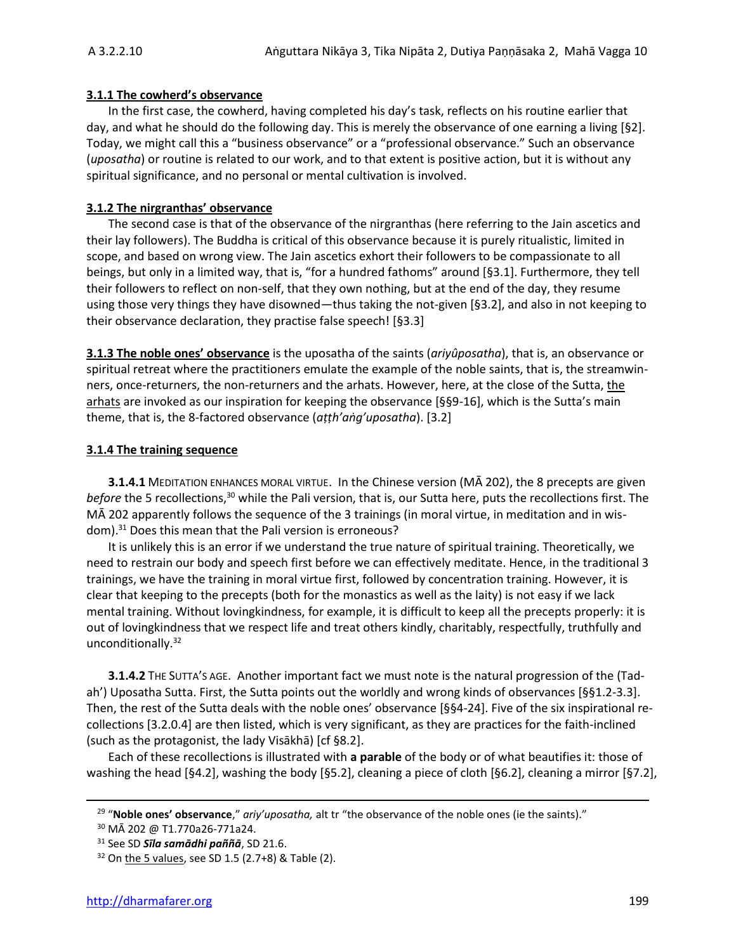#### **3.1.1 The cowherd's observance**

In the first case, the cowherd, having completed his day's task, reflects on his routine earlier that day, and what he should do the following day. This is merely the observance of one earning a living [§2]. Today, we might call this a "business observance" or a "professional observance." Such an observance (*uposatha*) or routine is related to our work, and to that extent is positive action, but it is without any spiritual significance, and no personal or mental cultivation is involved.

#### **3.1.2 The nirgranthas' observance**

The second case is that of the observance of the nirgranthas (here referring to the Jain ascetics and their lay followers). The Buddha is critical of this observance because it is purely ritualistic, limited in scope, and based on wrong view. The Jain ascetics exhort their followers to be compassionate to all beings, but only in a limited way, that is, "for a hundred fathoms" around [§3.1]. Furthermore, they tell their followers to reflect on non-self, that they own nothing, but at the end of the day, they resume using those very things they have disowned—thus taking the not-given [§3.2], and also in not keeping to their observance declaration, they practise false speech! [§3.3]

**3.1.3 The noble ones' observance** is the uposatha of the saints (*ariyûposatha*), that is, an observance or spiritual retreat where the practitioners emulate the example of the noble saints, that is, the streamwinners, once-returners, the non-returners and the arhats. However, here, at the close of the Sutta, the arhats are invoked as our inspiration for keeping the observance [§§9-16], which is the Sutta's main theme, that is, the 8-factored observance (*aṭṭh'aṅg'uposatha*). [3.2]

#### **3.1.4 The training sequence**

**3.1.4.1** MEDITATION ENHANCES MORAL VIRTUE.In the Chinese version (MĀ 202), the 8 precepts are given *before* the 5 recollections,<sup>30</sup> while the Pali version, that is, our Sutta here, puts the recollections first. The MĀ 202 apparently follows the sequence of the 3 trainings (in moral virtue, in meditation and in wisdom).<sup>31</sup> Does this mean that the Pali version is erroneous?

It is unlikely this is an error if we understand the true nature of spiritual training. Theoretically, we need to restrain our body and speech first before we can effectively meditate. Hence, in the traditional 3 trainings, we have the training in moral virtue first, followed by concentration training. However, it is clear that keeping to the precepts (both for the monastics as well as the laity) is not easy if we lack mental training. Without lovingkindness, for example, it is difficult to keep all the precepts properly: it is out of lovingkindness that we respect life and treat others kindly, charitably, respectfully, truthfully and unconditionally.<sup>32</sup>

**3.1.4.2** THE SUTTA'S AGE.Another important fact we must note is the natural progression of the (Tadah') Uposatha Sutta. First, the Sutta points out the worldly and wrong kinds of observances [§§1.2-3.3]. Then, the rest of the Sutta deals with the noble ones' observance [§§4-24]. Five of the six inspirational recollections [3.2.0.4] are then listed, which is very significant, as they are practices for the faith-inclined (such as the protagonist, the lady Visākhā) [cf §8.2].

Each of these recollections is illustrated with **a parable** of the body or of what beautifies it: those of washing the head [§4.2], washing the body [§5.2], cleaning a piece of cloth [§6.2], cleaning a mirror [§7.2],

<sup>&</sup>lt;sup>29</sup> "**Noble ones' observance**," *ariy'uposatha,* alt tr "the observance of the noble ones (ie the saints)."

<sup>30</sup> MĀ 202 @ T1.770a26-771a24.

<sup>31</sup> See SD *Sīla samādhi paññā*, SD 21.6.

 $32$  On the 5 values, see SD 1.5 (2.7+8) & Table (2).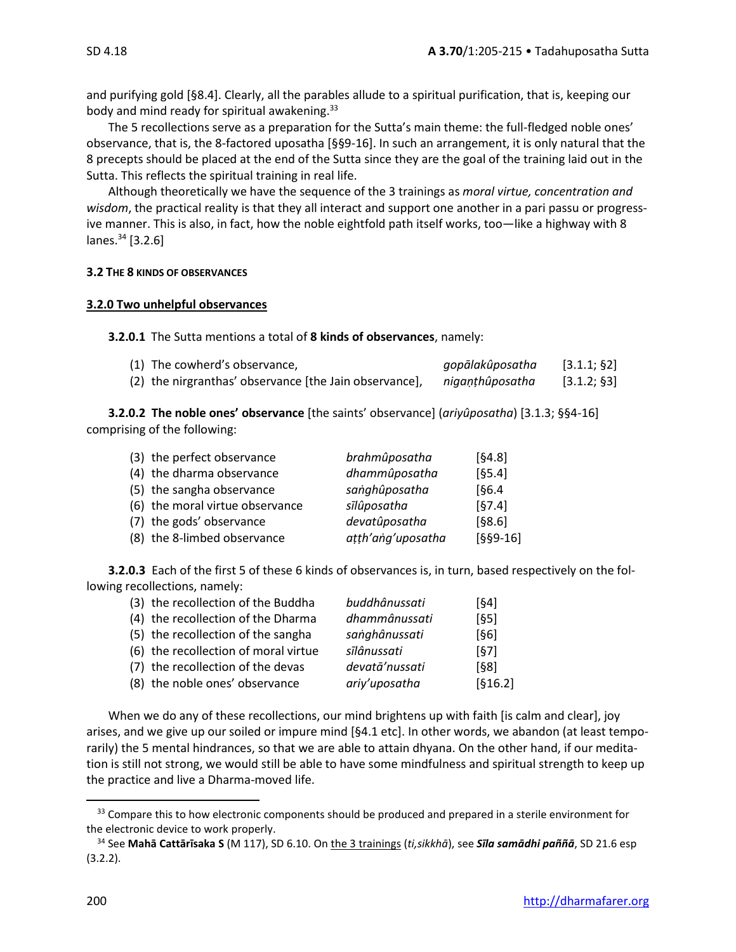and purifying gold [§8.4]. Clearly, all the parables allude to a spiritual purification, that is, keeping our body and mind ready for spiritual awakening.<sup>33</sup>

The 5 recollections serve as a preparation for the Sutta's main theme: the full-fledged noble ones' observance, that is, the 8-factored uposatha [§§9-16]. In such an arrangement, it is only natural that the 8 precepts should be placed at the end of the Sutta since they are the goal of the training laid out in the Sutta. This reflects the spiritual training in real life.

Although theoretically we have the sequence of the 3 trainings as *moral virtue, concentration and wisdom*, the practical reality is that they all interact and support one another in a pari passu or progressive manner. This is also, in fact, how the noble eightfold path itself works, too—like a highway with 8 lanes.<sup>34</sup> [3.2.6]

#### **3.2 THE 8 KINDS OF OBSERVANCES**

#### **3.2.0 Two unhelpful observances**

**3.2.0.1** The Sutta mentions a total of **8 kinds of observances**, namely:

| (1) The cowherd's observance,                          | gopālakûposatha | [3.1.1; 62]  |
|--------------------------------------------------------|-----------------|--------------|
| (2) the nirgranthas' observance [the Jain observance], | nigaṇṭhûposatha | [3.1.2; \$3] |

**3.2.0.2 The noble ones' observance** [the saints' observance] (*ariyûposatha*) [3.1.3; §§4-16] comprising of the following:

| (3) the perfect observance      | brahmûposatha     | [64.8]     |
|---------------------------------|-------------------|------------|
| (4) the dharma observance       | dhammûposatha     | [65.4]     |
| (5) the sangha observance       | sanghûposatha     | [§6.4]     |
| (6) the moral virtue observance | sīlûposatha       | [67.4]     |
| (7) the gods' observance        | devatûposatha     | [§8.6]     |
| (8) the 8-limbed observance     | atth'ang'uposatha | $[§§9-16]$ |

**3.2.0.3** Each of the first 5 of these 6 kinds of observances is, in turn, based respectively on the following recollections, namely:

| (3) the recollection of the Buddha   | buddhânussati  | [64]    |
|--------------------------------------|----------------|---------|
| (4) the recollection of the Dharma   | dhammânussati  | [65]    |
| (5) the recollection of the sangha   | sanghânussati  | [§6]    |
| (6) the recollection of moral virtue | sīlânussati    | [67]    |
| (7) the recollection of the devas    | devatā'nussati | [§8]    |
| (8) the noble ones' observance       | ariy'uposatha  | [§16.2] |
|                                      |                |         |

When we do any of these recollections, our mind brightens up with faith [is calm and clear], joy arises, and we give up our soiled or impure mind [§4.1 etc]. In other words, we abandon (at least temporarily) the 5 mental hindrances, so that we are able to attain dhyana. On the other hand, if our meditation is still not strong, we would still be able to have some mindfulness and spiritual strength to keep up the practice and live a Dharma-moved life.

<sup>&</sup>lt;sup>33</sup> Compare this to how electronic components should be produced and prepared in a sterile environment for the electronic device to work properly.

<sup>34</sup> See **Mahā Cattārīsaka S** (M 117), SD 6.10. On the 3 trainings (*ti,sikkhā*), see *Sīla samādhi paññā*, SD 21.6 esp (3.2.2).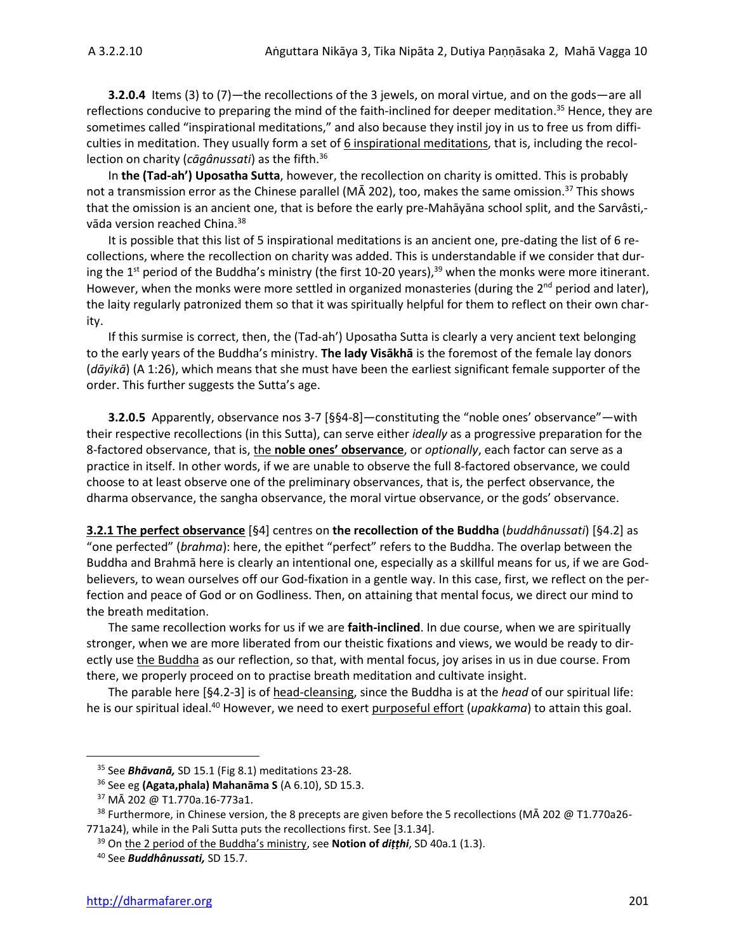**3.2.0.4** Items (3) to (7)—the recollections of the 3 jewels, on moral virtue, and on the gods—are all reflections conducive to preparing the mind of the faith-inclined for deeper meditation.<sup>35</sup> Hence, they are sometimes called "inspirational meditations," and also because they instil joy in us to free us from difficulties in meditation. They usually form a set of  $6$  inspirational meditations, that is, including the recollection on charity (*cāgânussati*) as the fifth.<sup>36</sup>

In **the (Tad-ah') Uposatha Sutta**, however, the recollection on charity is omitted. This is probably not a transmission error as the Chinese parallel ( $M\bar{A}$  202), too, makes the same omission.<sup>37</sup> This shows that the omission is an ancient one, that is before the early pre-Mahāyāna school split, and the Sarvâsti, vāda version reached China.<sup>38</sup>

It is possible that this list of 5 inspirational meditations is an ancient one, pre-dating the list of 6 recollections, where the recollection on charity was added. This is understandable if we consider that during the 1<sup>st</sup> period of the Buddha's ministry (the first 10-20 years),<sup>39</sup> when the monks were more itinerant. However, when the monks were more settled in organized monasteries (during the 2<sup>nd</sup> period and later), the laity regularly patronized them so that it was spiritually helpful for them to reflect on their own charity.

If this surmise is correct, then, the (Tad-ah') Uposatha Sutta is clearly a very ancient text belonging to the early years of the Buddha's ministry. **The lady Visākhā** is the foremost of the female lay donors (*dāyikā*) (A 1:26), which means that she must have been the earliest significant female supporter of the order. This further suggests the Sutta's age.

**3.2.0.5** Apparently, observance nos 3-7 [§§4-8]—constituting the "noble ones' observance"—with their respective recollections (in this Sutta), can serve either *ideally* as a progressive preparation for the 8-factored observance, that is, the **noble ones' observance**, or *optionally*, each factor can serve as a practice in itself. In other words, if we are unable to observe the full 8-factored observance, we could choose to at least observe one of the preliminary observances, that is, the perfect observance, the dharma observance, the sangha observance, the moral virtue observance, or the gods' observance.

**3.2.1 The perfect observance** [§4] centres on **the recollection of the Buddha** (*buddhânussati*) [§4.2] as "one perfected" (*brahma*): here, the epithet "perfect" refers to the Buddha. The overlap between the Buddha and Brahmā here is clearly an intentional one, especially as a skillful means for us, if we are Godbelievers, to wean ourselves off our God-fixation in a gentle way. In this case, first, we reflect on the perfection and peace of God or on Godliness. Then, on attaining that mental focus, we direct our mind to the breath meditation.

The same recollection works for us if we are **faith-inclined**. In due course, when we are spiritually stronger, when we are more liberated from our theistic fixations and views, we would be ready to directly use the Buddha as our reflection, so that, with mental focus, joy arises in us in due course. From there, we properly proceed on to practise breath meditation and cultivate insight.

The parable here [§4.2-3] is of head-cleansing, since the Buddha is at the *head* of our spiritual life: he is our spiritual ideal.<sup>40</sup> However, we need to exert purposeful effort (*upakkama*) to attain this goal.

<sup>35</sup> See *Bhāvanā,* SD 15.1 (Fig 8.1) meditations 23-28.

<sup>36</sup> See eg **(Agata,phala) Mahanāma S** (A 6.10), SD 15.3.

<sup>37</sup> MĀ 202 @ T1.770a.16-773a1.

<sup>&</sup>lt;sup>38</sup> Furthermore, in Chinese version, the 8 precepts are given before the 5 recollections (MA 202 @ T1.770a26-771a24), while in the Pali Sutta puts the recollections first. See [3.1.34].

<sup>39</sup> On the 2 period of the Buddha's ministry, see **Notion of** *diṭṭhi*, SD 40a.1 (1.3).

<sup>40</sup> See *Buddhânussati,* SD 15.7.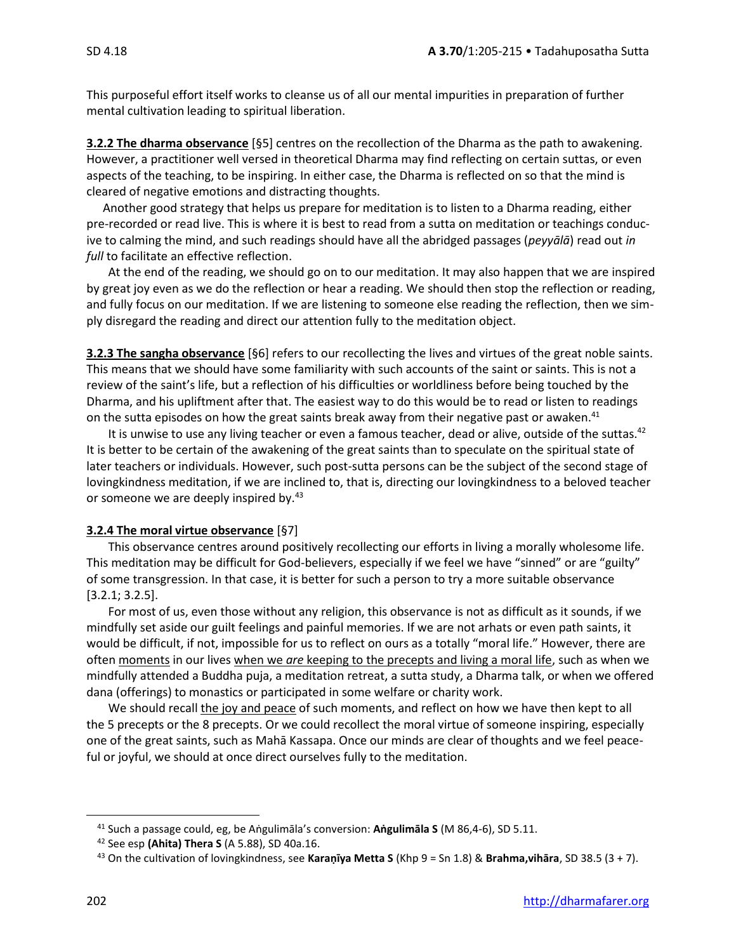This purposeful effort itself works to cleanse us of all our mental impurities in preparation of further mental cultivation leading to spiritual liberation.

**3.2.2 The dharma observance** [§5] centres on the recollection of the Dharma as the path to awakening. However, a practitioner well versed in theoretical Dharma may find reflecting on certain suttas, or even aspects of the teaching, to be inspiring. In either case, the Dharma is reflected on so that the mind is cleared of negative emotions and distracting thoughts.

Another good strategy that helps us prepare for meditation is to listen to a Dharma reading, either pre-recorded or read live. This is where it is best to read from a sutta on meditation or teachings conducive to calming the mind, and such readings should have all the abridged passages (*peyyālā*) read out *in full* to facilitate an effective reflection.

At the end of the reading, we should go on to our meditation. It may also happen that we are inspired by great joy even as we do the reflection or hear a reading. We should then stop the reflection or reading, and fully focus on our meditation. If we are listening to someone else reading the reflection, then we simply disregard the reading and direct our attention fully to the meditation object.

**3.2.3 The sangha observance** [§6] refers to our recollecting the lives and virtues of the great noble saints. This means that we should have some familiarity with such accounts of the saint or saints. This is not a review of the saint's life, but a reflection of his difficulties or worldliness before being touched by the Dharma, and his upliftment after that. The easiest way to do this would be to read or listen to readings on the sutta episodes on how the great saints break away from their negative past or awaken.<sup>41</sup>

It is unwise to use any living teacher or even a famous teacher, dead or alive, outside of the suttas.<sup>42</sup> It is better to be certain of the awakening of the great saints than to speculate on the spiritual state of later teachers or individuals. However, such post-sutta persons can be the subject of the second stage of lovingkindness meditation, if we are inclined to, that is, directing our lovingkindness to a beloved teacher or someone we are deeply inspired by.<sup>43</sup>

# **3.2.4 The moral virtue observance** [§7]

This observance centres around positively recollecting our efforts in living a morally wholesome life. This meditation may be difficult for God-believers, especially if we feel we have "sinned" or are "guilty" of some transgression. In that case, it is better for such a person to try a more suitable observance [3.2.1; 3.2.5].

For most of us, even those without any religion, this observance is not as difficult as it sounds, if we mindfully set aside our guilt feelings and painful memories. If we are not arhats or even path saints, it would be difficult, if not, impossible for us to reflect on ours as a totally "moral life." However, there are often moments in our lives when we *are* keeping to the precepts and living a moral life, such as when we mindfully attended a Buddha puja, a meditation retreat, a sutta study, a Dharma talk, or when we offered dana (offerings) to monastics or participated in some welfare or charity work.

We should recall the joy and peace of such moments, and reflect on how we have then kept to all the 5 precepts or the 8 precepts. Or we could recollect the moral virtue of someone inspiring, especially one of the great saints, such as Mahā Kassapa. Once our minds are clear of thoughts and we feel peaceful or joyful, we should at once direct ourselves fully to the meditation.

<sup>41</sup> Such a passage could, eg, be Aṅgulimāla's conversion: **Aṅgulimāla S** (M 86,4-6), SD 5.11.

<sup>42</sup> See esp **(Ahita) Thera S** (A 5.88), SD 40a.16.

<sup>43</sup> On the cultivation of lovingkindness, see **Karaṇīya Metta S** (Khp 9 = Sn 1.8) & **Brahma,vihāra**, SD 38.5 (3 + 7).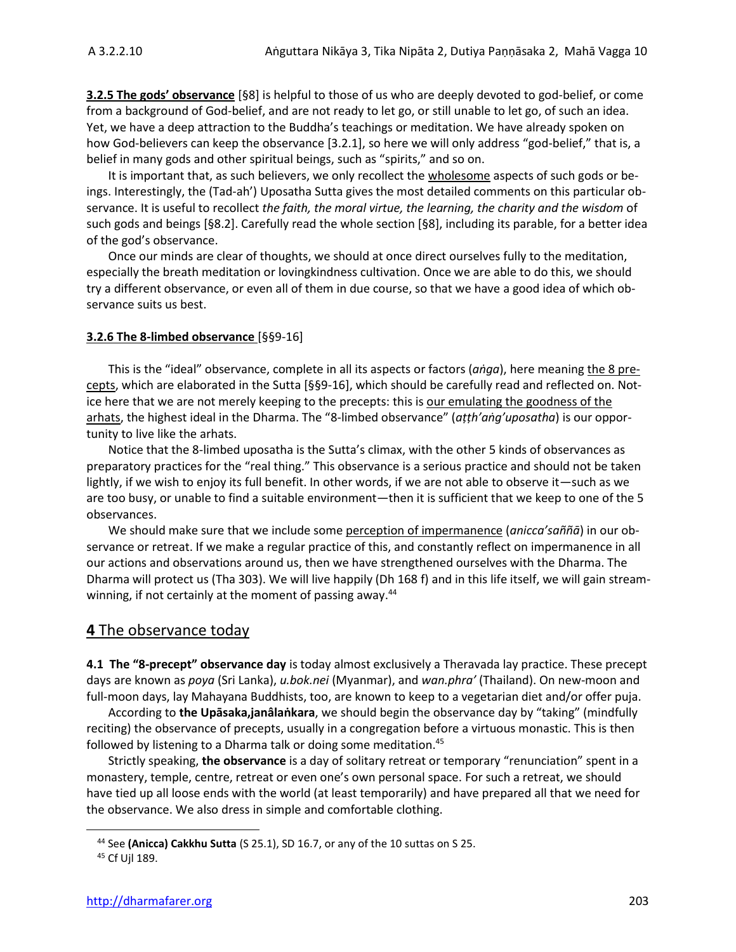**3.2.5 The gods' observance** [§8] is helpful to those of us who are deeply devoted to god-belief, or come from a background of God-belief, and are not ready to let go, or still unable to let go, of such an idea. Yet, we have a deep attraction to the Buddha's teachings or meditation. We have already spoken on how God-believers can keep the observance [3.2.1], so here we will only address "god-belief," that is, a belief in many gods and other spiritual beings, such as "spirits," and so on.

It is important that, as such believers, we only recollect the wholesome aspects of such gods or beings. Interestingly, the (Tad-ah') Uposatha Sutta gives the most detailed comments on this particular observance. It is useful to recollect *the faith, the moral virtue, the learning, the charity and the wisdom* of such gods and beings [§8.2]. Carefully read the whole section [§8], including its parable, for a better idea of the god's observance.

Once our minds are clear of thoughts, we should at once direct ourselves fully to the meditation, especially the breath meditation or lovingkindness cultivation. Once we are able to do this, we should try a different observance, or even all of them in due course, so that we have a good idea of which observance suits us best.

### **3.2.6 The 8-limbed observance** [§§9-16]

This is the "ideal" observance, complete in all its aspects or factors (*aṅga*), here meaning the 8 precepts, which are elaborated in the Sutta [§§9-16], which should be carefully read and reflected on. Notice here that we are not merely keeping to the precepts: this is our emulating the goodness of the arhats, the highest ideal in the Dharma. The "8-limbed observance" (*aṭṭh'aṅg'uposatha*) is our opportunity to live like the arhats.

Notice that the 8-limbed uposatha is the Sutta's climax, with the other 5 kinds of observances as preparatory practices for the "real thing." This observance is a serious practice and should not be taken lightly, if we wish to enjoy its full benefit. In other words, if we are not able to observe it—such as we are too busy, or unable to find a suitable environment—then it is sufficient that we keep to one of the 5 observances.

We should make sure that we include some perception of impermanence (*anicca'saññā*) in our observance or retreat. If we make a regular practice of this, and constantly reflect on impermanence in all our actions and observations around us, then we have strengthened ourselves with the Dharma. The Dharma will protect us (Tha 303). We will live happily (Dh 168 f) and in this life itself, we will gain streamwinning, if not certainly at the moment of passing away.<sup>44</sup>

# **4** The observance today

**4.1 The "8-precept" observance day** is today almost exclusively a Theravada lay practice. These precept days are known as *poya* (Sri Lanka), *u.bok.nei* (Myanmar), and *wan.phra'* (Thailand). On new-moon and full-moon days, lay Mahayana Buddhists, too, are known to keep to a vegetarian diet and/or offer puja.

According to **the Upāsaka,janâlaṅkara**, we should begin the observance day by "taking" (mindfully reciting) the observance of precepts, usually in a congregation before a virtuous monastic. This is then followed by listening to a Dharma talk or doing some meditation.<sup>45</sup>

Strictly speaking, **the observance** is a day of solitary retreat or temporary "renunciation" spent in a monastery, temple, centre, retreat or even one's own personal space. For such a retreat, we should have tied up all loose ends with the world (at least temporarily) and have prepared all that we need for the observance. We also dress in simple and comfortable clothing.

<sup>44</sup> See **(Anicca) Cakkhu Sutta** (S 25.1), SD 16.7, or any of the 10 suttas on S 25.

<sup>45</sup> Cf Ujl 189.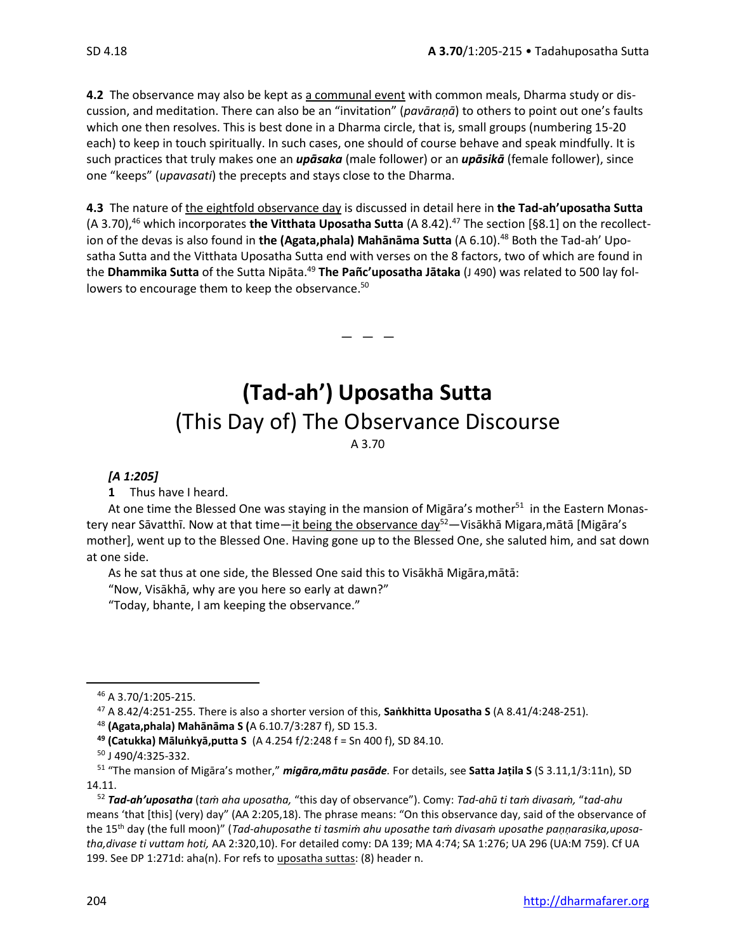**4.2** The observance may also be kept as a communal event with common meals, Dharma study or discussion, and meditation. There can also be an "invitation" (*pavāraṇā*) to others to point out one's faults which one then resolves. This is best done in a Dharma circle, that is, small groups (numbering 15-20 each) to keep in touch spiritually. In such cases, one should of course behave and speak mindfully. It is such practices that truly makes one an *upāsaka* (male follower) or an *upāsikā* (female follower), since one "keeps" (*upavasati*) the precepts and stays close to the Dharma.

**4.3** The nature of the eightfold observance day is discussed in detail here in **the Tad-ah'uposatha Sutta**  (A 3.70), <sup>46</sup> which incorporates **the Vitthata Uposatha Sutta** (A 8.42). <sup>47</sup> The section [§8.1] on the recollection of the devas is also found in **the (Agata,phala) Mahānāma Sutta** (A 6.10). <sup>48</sup> Both the Tad-ah' Uposatha Sutta and the Vitthata Uposatha Sutta end with verses on the 8 factors, two of which are found in the **Dhammika Sutta** of the Sutta Nipāta.<sup>49</sup> **The Pañc'uposatha Jātaka** (J 490) was related to 500 lay followers to encourage them to keep the observance.<sup>50</sup>

 $-$ 

# **(Tad-ah') Uposatha Sutta** (This Day of) The Observance Discourse

A 3.70

# *[A 1:205]*

**1** Thus have I heard.

At one time the Blessed One was staying in the mansion of Migāra's mother<sup>51</sup> in the Eastern Monastery near Sāvatthī. Now at that time—it being the observance day<sup>52</sup>—Visākhā Migara, mātā [Migāra's mother], went up to the Blessed One. Having gone up to the Blessed One, she saluted him, and sat down at one side.

As he sat thus at one side, the Blessed One said this to Visākhā Migāra,mātā:

"Now, Visākhā, why are you here so early at dawn?"

"Today, bhante, I am keeping the observance."

<sup>47</sup> A 8.42/4:251-255. There is also a shorter version of this, **Saṅkhitta Uposatha S** (A 8.41/4:248-251).

- <sup>48</sup> **(Agata,phala) Mahānāma S (**A 6.10.7/3:287 f), SD 15.3.
- **<sup>49</sup> (Catukka) Māluṅkyā,putta S** (A 4.254 f/2:248 f = Sn 400 f), SD 84.10.
- <sup>50</sup> J 490/4:325-332.

<sup>46</sup> A 3.70/1:205-215.

<sup>51</sup> "The mansion of Migāra's mother," *migāra,mātu pasāde.* For details, see **Satta Jaṭila S** (S 3.11,1/3:11n), SD 14.11.

<sup>52</sup> *Tad-ah'uposatha* (*taṁ aha uposatha,* "this day of observance"). Comy: *Tad-ahū ti taṁ divasaṁ,* "*tad-ahu*  means 'that [this] (very) day" (AA 2:205,18). The phrase means: "On this observance day, said of the observance of the 15th day (the full moon)" (*Tad-ahuposathe ti tasmiṁ ahu uposathe taṁ divasaṁ uposathe paṇṇarasika,uposatha,divase ti vuttam hoti,* AA 2:320,10). For detailed comy: DA 139; MA 4:74; SA 1:276; UA 296 (UA:M 759). Cf UA 199. See DP 1:271d: aha(n). For refs to uposatha suttas: (8) header n.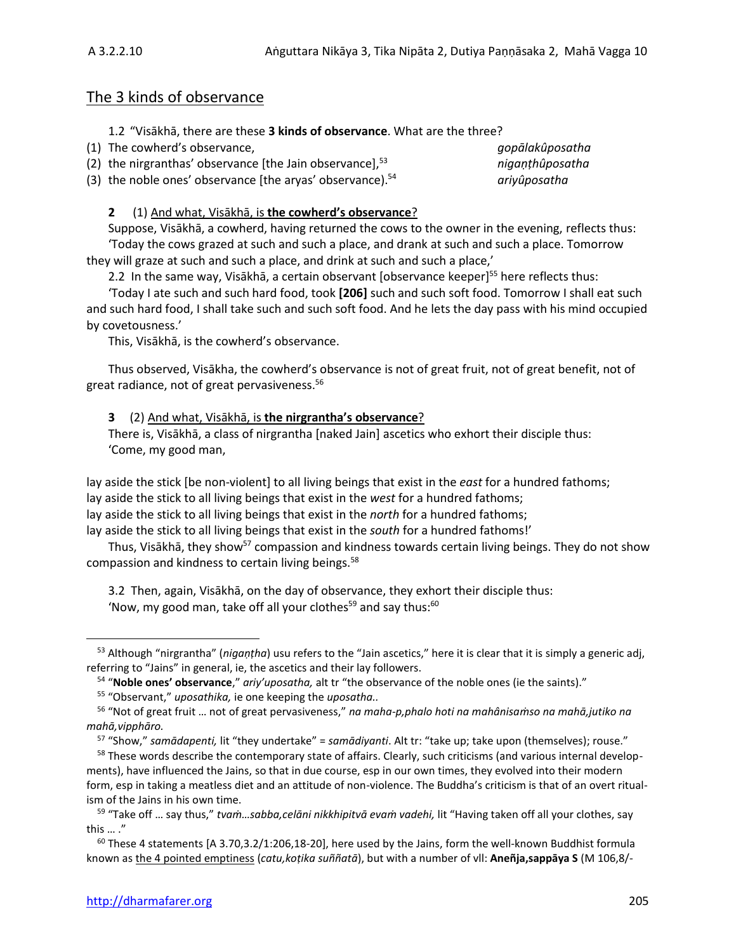# The 3 kinds of observance

1.2 "Visākhā, there are these **3 kinds of observance**. What are the three?

| (1) The cowherd's observance,                                | gopālakûposatha |
|--------------------------------------------------------------|-----------------|
| (2) the nirgranthas' observance [the Jain observance], $53$  | niganthûposatha |
| (3) the noble ones' observance [the aryas' observance). $54$ | ariyûposatha    |

# **2** (1) And what, Visākhā, is **the cowherd's observance**?

Suppose, Visākhā, a cowherd, having returned the cows to the owner in the evening, reflects thus: 'Today the cows grazed at such and such a place, and drank at such and such a place. Tomorrow they will graze at such and such a place, and drink at such and such a place,'

2.2 In the same way, Visākhā, a certain observant [observance keeper]<sup>55</sup> here reflects thus:

'Today I ate such and such hard food, took **[206]** such and such soft food. Tomorrow I shall eat such and such hard food, I shall take such and such soft food. And he lets the day pass with his mind occupied by covetousness.'

This, Visākhā, is the cowherd's observance.

Thus observed, Visākha, the cowherd's observance is not of great fruit, not of great benefit, not of great radiance, not of great pervasiveness. 56

# **3** (2) And what, Visākhā, is **the nirgrantha's observance**?

There is, Visākhā, a class of nirgrantha [naked Jain] ascetics who exhort their disciple thus: 'Come, my good man,

lay aside the stick [be non-violent] to all living beings that exist in the *east* for a hundred fathoms; lay aside the stick to all living beings that exist in the *west* for a hundred fathoms; lay aside the stick to all living beings that exist in the *north* for a hundred fathoms; lay aside the stick to all living beings that exist in the *south* for a hundred fathoms!'

Thus, Visākhā, they show<sup>57</sup> compassion and kindness towards certain living beings. They do not show compassion and kindness to certain living beings.<sup>58</sup>

3.2 Then, again, Visākhā, on the day of observance, they exhort their disciple thus: 'Now, my good man, take off all your clothes $^{59}$  and say thus: $^{60}$ 

<sup>53</sup> Although "nirgrantha" (*nigaṇṭha*) usu refers to the "Jain ascetics," here it is clear that it is simply a generic adj, referring to "Jains" in general, ie, the ascetics and their lay followers.

<sup>54</sup> "**Noble ones' observance**," *ariy'uposatha,* alt tr "the observance of the noble ones (ie the saints)."

<sup>55</sup> "Observant," *uposathika,* ie one keeping the *uposatha..*

<sup>56</sup> "Not of great fruit … not of great pervasiveness," *na maha-p,phalo hoti na mahânisaṁso na mahā,jutiko na mahā,vipphāro.*

<sup>57</sup> "Show," *samādapenti,* lit "they undertake" = *samādiyanti*. Alt tr: "take up; take upon (themselves); rouse."

<sup>&</sup>lt;sup>58</sup> These words describe the contemporary state of affairs. Clearly, such criticisms (and various internal developments), have influenced the Jains, so that in due course, esp in our own times, they evolved into their modern form, esp in taking a meatless diet and an attitude of non-violence. The Buddha's criticism is that of an overt ritualism of the Jains in his own time.

<sup>59</sup> "Take off … say thus," *tvaṁ…sabba,celāni nikkhipitvā evaṁ vadehi,* lit "Having taken off all your clothes, say this … ."

 $60$  These 4 statements [A 3.70,3.2/1:206,18-20], here used by the Jains, form the well-known Buddhist formula known as the 4 pointed emptiness (*catu,koṭika suññatā*), but with a number of vll: **Aneñja,sappāya S** (M 106,8/-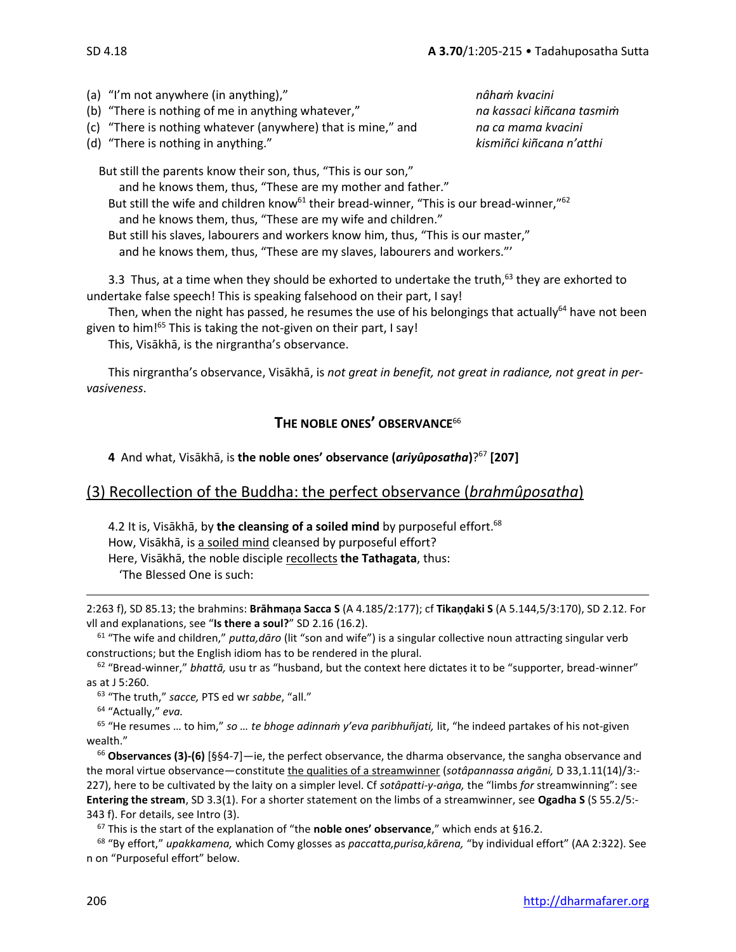(a) "I'm not anywhere (in anything)," *nâhaṁ kvacini*

(b) "There is nothing of me in anything whatever," *na kassaci kiñcana tasmiṁ*

(c) "There is nothing whatever (anywhere) that is mine," and *na ca mama kvacini*

(d) "There is nothing in anything." *kismiñci kiñcana n'atthi*

But still the parents know their son, thus, "This is our son,"

and he knows them, thus, "These are my mother and father." But still the wife and children know<sup>61</sup> their bread-winner, "This is our bread-winner,"<sup>62</sup>

and he knows them, thus, "These are my wife and children."

But still his slaves, labourers and workers know him, thus, "This is our master," and he knows them, thus, "These are my slaves, labourers and workers."'

3.3 Thus, at a time when they should be exhorted to undertake the truth,<sup>63</sup> they are exhorted to undertake false speech! This is speaking falsehood on their part, I say!

Then, when the night has passed, he resumes the use of his belongings that actually<sup>64</sup> have not been given to him!<sup>65</sup> This is taking the not-given on their part, I say!

This, Visākhā, is the nirgrantha's observance.

This nirgrantha's observance, Visākhā, is *not great in benefit, not great in radiance, not great in pervasiveness*.

# **THE NOBLE ONES' OBSERVANCE**<sup>66</sup>

**4** And what, Visākhā, is **the noble ones' observance (***ariyûposatha***)**? <sup>67</sup> **[207]**

# (3) Recollection of the Buddha: the perfect observance (*brahmûposatha*)

4.2 It is, Visākhā, by **the cleansing of a soiled mind** by purposeful effort. 68 How, Visākhā, is a soiled mind cleansed by purposeful effort? Here, Visākhā, the noble disciple recollects **the Tathagata**, thus: 'The Blessed One is such:

2:263 f), SD 85.13; the brahmins: **Brāhmaṇa Sacca S** (A 4.185/2:177); cf **Tikaṇḍaki S** (A 5.144,5/3:170), SD 2.12. For vll and explanations, see "**Is there a soul?**" SD 2.16 (16.2).

<sup>61</sup> "The wife and children," *putta,dāro* (lit "son and wife") is a singular collective noun attracting singular verb constructions; but the English idiom has to be rendered in the plural.

<sup>62</sup> "Bread-winner," *bhattā,* usu tr as "husband, but the context here dictates it to be "supporter, bread-winner" as at J 5:260.

<sup>63</sup> "The truth," *sacce,* PTS ed wr *sabbe*, "all."

<sup>64</sup> "Actually," *eva.*

<sup>65</sup> "He resumes … to him," *so … te bhoge adinnaṁ y'eva paribhuñjati,* lit, "he indeed partakes of his not-given wealth."

<sup>66</sup> **Observances (3)-(6)** [§§4-7]—ie, the perfect observance, the dharma observance, the sangha observance and the moral virtue observance—constitute the qualities of a streamwinner (*sotâpannassa aṅgāni,* D 33,1.11(14)/3:- 227), here to be cultivated by the laity on a simpler level. Cf *sotâpatti-y-aṅga,* the "limbs *for* streamwinning": see **Entering the stream**, SD 3.3(1). For a shorter statement on the limbs of a streamwinner, see **Ogadha S** (S 55.2/5:- 343 f). For details, see Intro (3).

<sup>67</sup> This is the start of the explanation of "the **noble ones' observance**," which ends at §16.2.

<sup>68</sup> "By effort," *upakkamena,* which Comy glosses as *paccatta,purisa,kārena,* "by individual effort" (AA 2:322). See n on "Purposeful effort" below.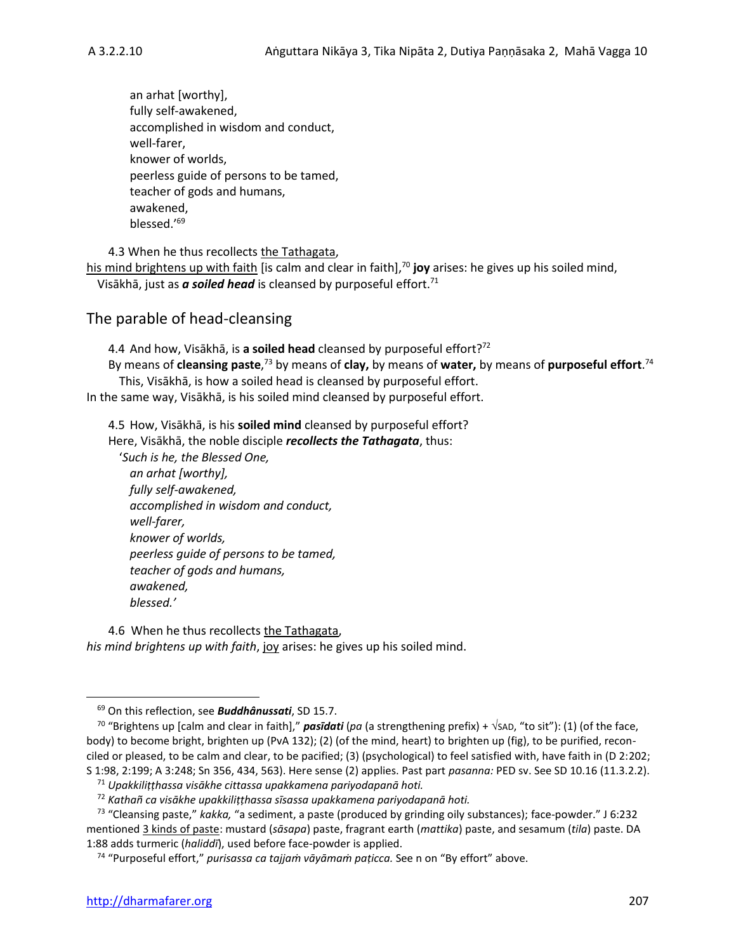an arhat [worthy], fully self-awakened, accomplished in wisdom and conduct, well-farer, knower of worlds, peerless guide of persons to be tamed, teacher of gods and humans, awakened, blessed.' 69

4.3 When he thus recollects the Tathagata,

his mind brightens up with faith [is calm and clear in faith], <sup>70</sup> **joy** arises: he gives up his soiled mind, Visākhā, just as *a soiled head* is cleansed by purposeful effort.<sup>71</sup>

# The parable of head-cleansing

4.4 And how, Visākhā, is **a soiled head** cleansed by purposeful effort? 72 By means of **cleansing paste**,<sup>73</sup> by means of **clay,** by means of water, by means of purposeful effort.<sup>74</sup> This, Visākhā, is how a soiled head is cleansed by purposeful effort.

In the same way, Visākhā, is his soiled mind cleansed by purposeful effort.

4.5 How, Visākhā, is his **soiled mind** cleansed by purposeful effort?

Here, Visākhā, the noble disciple *recollects the Tathagata*, thus:

'*Such is he, the Blessed One, an arhat [worthy], fully self-awakened, accomplished in wisdom and conduct, well-farer, knower of worlds, peerless guide of persons to be tamed, teacher of gods and humans, awakened, blessed.'*

4.6 When he thus recollects the Tathagata, *his mind brightens up with faith*, joy arises: he gives up his soiled mind.

<sup>69</sup> On this reflection, see *Buddhânussati*, SD 15.7.

<sup>&</sup>lt;sup>70</sup> "Brightens up [calm and clear in faith]," **pasīdati** (pa (a strengthening prefix) +  $\sqrt{2}$ AD, "to sit"): (1) (of the face, body) to become bright, brighten up (PvA 132); (2) (of the mind, heart) to brighten up (fig), to be purified, reconciled or pleased, to be calm and clear, to be pacified; (3) (psychological) to feel satisfied with, have faith in (D 2:202; S 1:98, 2:199; A 3:248; Sn 356, 434, 563). Here sense (2) applies. Past part *pasanna:* PED sv. See SD 10.16 (11.3.2.2).

<sup>71</sup> *Upakkiliṭṭhassa visākhe cittassa upakkamena pariyodapanā hoti.*

<sup>72</sup> *Kathañ ca visākhe upakkiliṭṭhassa sīsassa upakkamena pariyodapanā hoti.*

<sup>73</sup> "Cleansing paste," *kakka,* "a sediment, a paste (produced by grinding oily substances); face-powder." J 6:232 mentioned 3 kinds of paste: mustard (*sāsapa*) paste, fragrant earth (*mattika*) paste, and sesamum (*tila*) paste. DA 1:88 adds turmeric (*haliddī*), used before face-powder is applied.

<sup>74</sup> "Purposeful effort," *purisassa ca tajjaṁ vāyāmaṁ paṭicca.* See n on "By effort" above.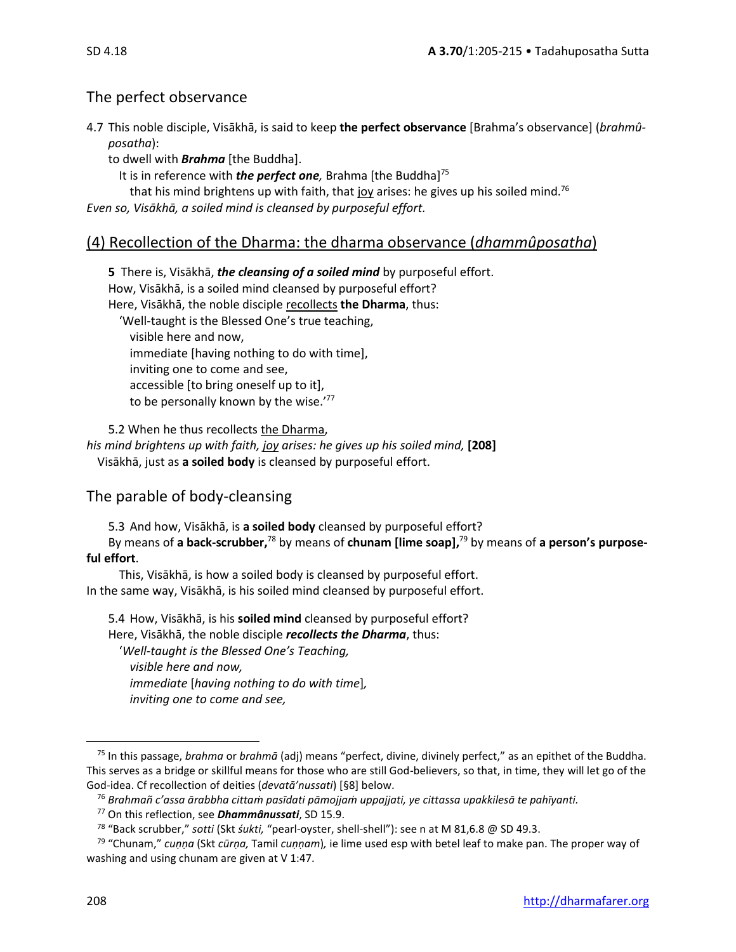# The perfect observance

- 4.7 This noble disciple, Visākhā, is said to keep **the perfect observance** [Brahma's observance] (*brahmûposatha*):
	- to dwell with *Brahma* [the Buddha].
		- It is in reference with *the perfect one*, Brahma [the Buddha]<sup>75</sup>
		- that his mind brightens up with faith, that joy arises: he gives up his soiled mind.<sup>76</sup>

*Even so, Visākhā, a soiled mind is cleansed by purposeful effort.*

# (4) Recollection of the Dharma: the dharma observance (*dhammûposatha*)

**5** There is, Visākhā, *the cleansing of a soiled mind* by purposeful effort. How, Visākhā, is a soiled mind cleansed by purposeful effort? Here, Visākhā, the noble disciple recollects **the Dharma**, thus: 'Well-taught is the Blessed One's true teaching, visible here and now, immediate [having nothing to do with time], inviting one to come and see, accessible [to bring oneself up to it], to be personally known by the wise.'77

5.2 When he thus recollects the Dharma, *his mind brightens up with faith, joy arises: he gives up his soiled mind,* **[208]** Visākhā, just as **a soiled body** is cleansed by purposeful effort.

# The parable of body-cleansing

5.3 And how, Visākhā, is **a soiled body** cleansed by purposeful effort?

By means of **a back-scrubber,** <sup>78</sup> by means of **chunam [lime soap],** <sup>79</sup> by means of **a person's purposeful effort**.

This, Visākhā, is how a soiled body is cleansed by purposeful effort. In the same way, Visākhā, is his soiled mind cleansed by purposeful effort.

5.4 How, Visākhā, is his **soiled mind** cleansed by purposeful effort? Here, Visākhā, the noble disciple *recollects the Dharma*, thus:

'*Well-taught is the Blessed One's Teaching, visible here and now, immediate* [*having nothing to do with time*]*, inviting one to come and see,* 

<sup>75</sup> In this passage, *brahma* or *brahmā* (adj) means "perfect, divine, divinely perfect," as an epithet of the Buddha. This serves as a bridge or skillful means for those who are still God-believers, so that, in time, they will let go of the God-idea. Cf recollection of deities (*devatā'nussati*) [§8] below.

<sup>76</sup> *Brahmañ c'assa ārabbha cittaṁ pasīdati pāmojjaṁ uppajjati, ye cittassa upakkilesā te pahīyanti.*

<sup>77</sup> On this reflection, see *Dhammânussati*, SD 15.9.

<sup>78</sup> "Back scrubber," *sotti* (Skt *śukti,* "pearl-oyster, shell-shell"): see n at M 81,6.8 @ SD 49.3.

<sup>79</sup> "Chunam," *cuṇṇa* (Skt *cūrṇa,* Tamil *cuṇṇam*)*,* ie lime used esp with betel leaf to make pan. The proper way of washing and using chunam are given at V 1:47.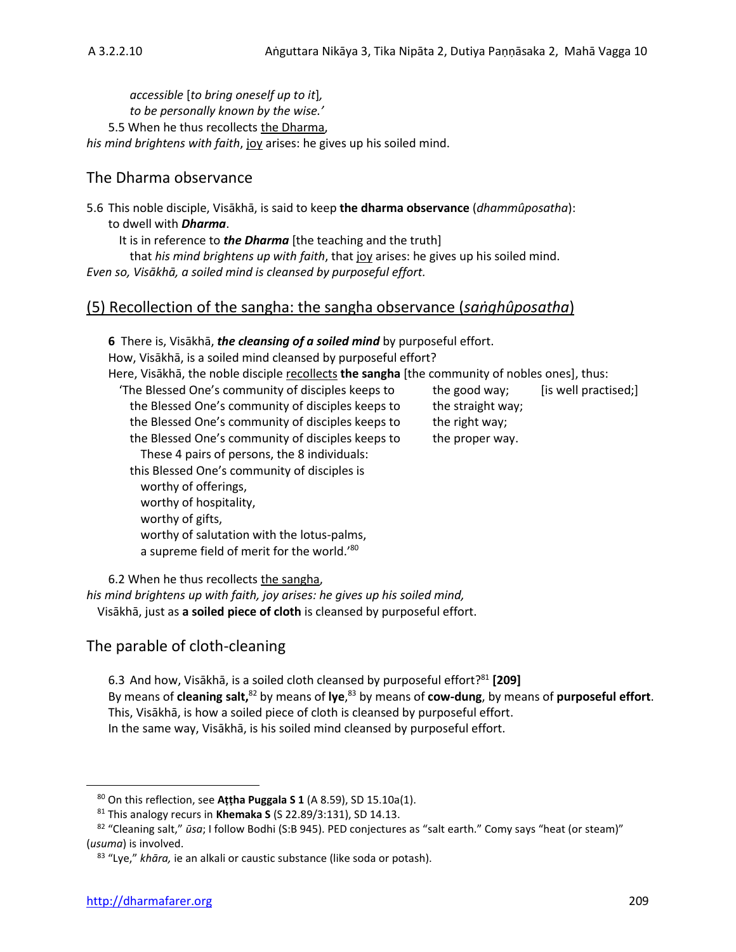*accessible* [*to bring oneself up to it*]*, to be personally known by the wise.'* 5.5 When he thus recollects the Dharma, *his mind brightens with faith*, joy arises: he gives up his soiled mind.

# The Dharma observance

5.6 This noble disciple, Visākhā, is said to keep **the dharma observance** (*dhammûposatha*): to dwell with *Dharma*.

It is in reference to *the Dharma* [the teaching and the truth]

that *his mind brightens up with faith*, that joy arises: he gives up his soiled mind. *Even so, Visākhā, a soiled mind is cleansed by purposeful effort.*

# (5) Recollection of the sangha: the sangha observance (*saṅghûposatha*)

**6** There is, Visākhā, *the cleansing of a soiled mind* by purposeful effort. How, Visākhā, is a soiled mind cleansed by purposeful effort? Here, Visākhā, the noble disciple recollects **the sangha** [the community of nobles ones], thus: 'The Blessed One's community of disciples keeps to the good way; [is well practised;] the Blessed One's community of disciples keeps to the straight way; the Blessed One's community of disciples keeps to the right way; the Blessed One's community of disciples keeps to the proper way. These 4 pairs of persons, the 8 individuals: this Blessed One's community of disciples is worthy of offerings, worthy of hospitality, worthy of gifts, worthy of salutation with the lotus-palms, a supreme field of merit for the world.'<sup>80</sup>

6.2 When he thus recollects the sangha,

*his mind brightens up with faith, joy arises: he gives up his soiled mind,* Visākhā, just as **a soiled piece of cloth** is cleansed by purposeful effort.

# The parable of cloth-cleaning

6.3 And how, Visākhā, is a soiled cloth cleansed by purposeful effort? <sup>81</sup> **[209]** By means of **cleaning salt**,<sup>82</sup> by means of lye,<sup>83</sup> by means of cow-dung, by means of purposeful effort. This, Visākhā, is how a soiled piece of cloth is cleansed by purposeful effort. In the same way, Visākhā, is his soiled mind cleansed by purposeful effort.

<sup>80</sup> On this reflection, see **Aṭṭha Puggala S 1** (A 8.59), SD 15.10a(1).

<sup>81</sup> This analogy recurs in **Khemaka S** (S 22.89/3:131), SD 14.13.

<sup>82 &</sup>quot;Cleaning salt," *ūsa*; I follow Bodhi (S:B 945). PED conjectures as "salt earth." Comy says "heat (or steam)" (*usuma*) is involved.

<sup>83</sup> "Lye," *khāra,* ie an alkali or caustic substance (like soda or potash).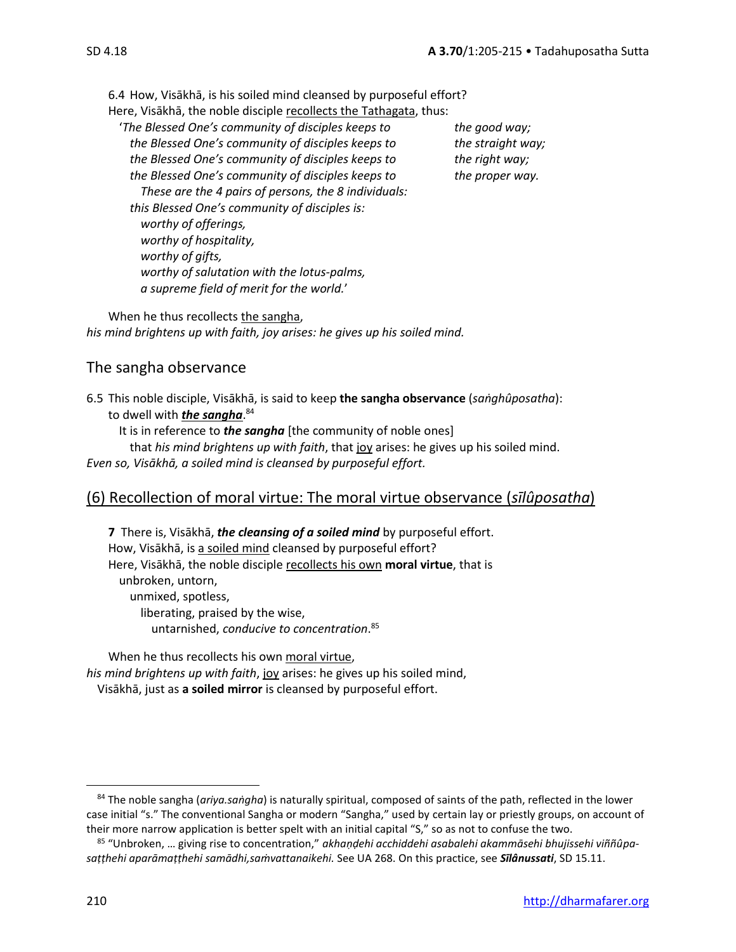6.4 How, Visākhā, is his soiled mind cleansed by purposeful effort? Here, Visākhā, the noble disciple recollects the Tathagata, thus:

'*The Blessed One's community of disciples keeps to the good way; the Blessed One's community of disciples keeps to the straight way; the Blessed One's community of disciples keeps to the right way; the Blessed One's community of disciples keeps to the proper way. These are the 4 pairs of persons, the 8 individuals: this Blessed One's community of disciples is: worthy of offerings, worthy of hospitality, worthy of gifts, worthy of salutation with the lotus-palms, a supreme field of merit for the world.*'

When he thus recollects the sangha, *his mind brightens up with faith, joy arises: he gives up his soiled mind.* 

# The sangha observance

6.5 This noble disciple, Visākhā, is said to keep **the sangha observance** (*saṅghûposatha*): to dwell with *the sangha*. 84

It is in reference to *the sangha* [the community of noble ones]

that *his mind brightens up with faith*, that joy arises: he gives up his soiled mind.

*Even so, Visākhā, a soiled mind is cleansed by purposeful effort.*

# (6) Recollection of moral virtue: The moral virtue observance (*sīlûposatha*)

**7** There is, Visākhā, *the cleansing of a soiled mind* by purposeful effort. How, Visākhā, is a soiled mind cleansed by purposeful effort? Here, Visākhā, the noble disciple recollects his own **moral virtue**, that is unbroken, untorn, unmixed, spotless, liberating, praised by the wise, untarnished, *conducive to concentration*. 85

When he thus recollects his own moral virtue, *his mind brightens up with faith*, joy arises: he gives up his soiled mind, Visākhā, just as **a soiled mirror** is cleansed by purposeful effort.

<sup>84</sup> The noble sangha (*ariya.saṅgha*) is naturally spiritual, composed of saints of the path, reflected in the lower case initial "s." The conventional Sangha or modern "Sangha," used by certain lay or priestly groups, on account of their more narrow application is better spelt with an initial capital "S," so as not to confuse the two.

<sup>85</sup> "Unbroken, … giving rise to concentration," *akhaṇḍehi acchiddehi asabalehi akammāsehi bhujissehi viññûpasaṭṭhehi aparāmaṭṭhehi samādhi,saṁvattanaikehi.* See UA 268. On this practice, see *Sīlânussati*, SD 15.11.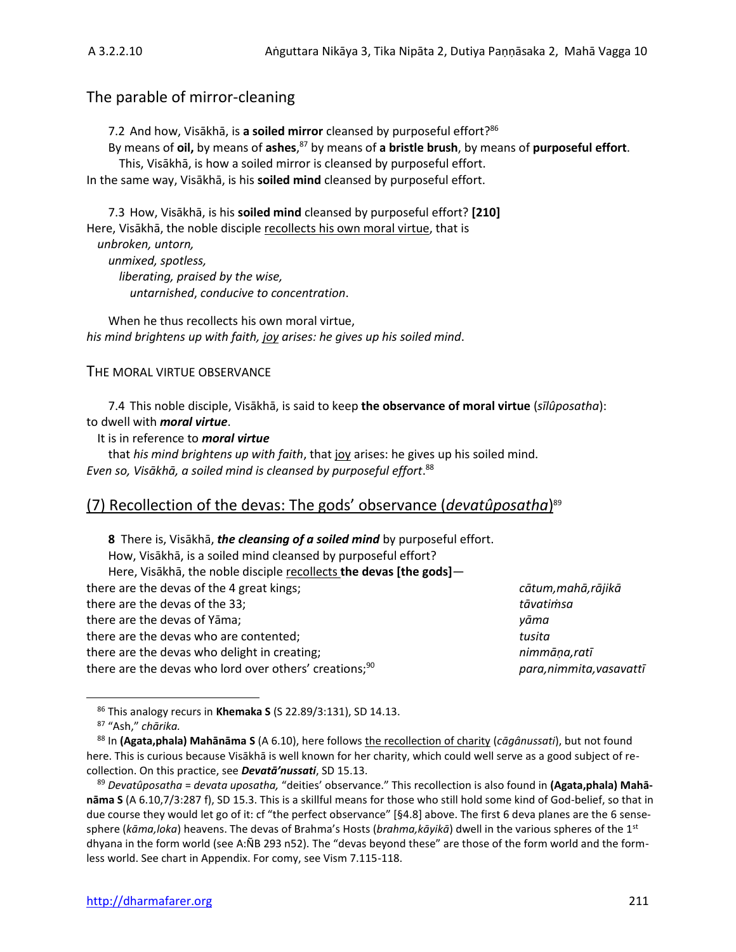# The parable of mirror-cleaning

7.2 And how, Visākhā, is **a soiled mirror** cleansed by purposeful effort? 86

By means of **oil,** by means of **ashes**, <sup>87</sup> by means of **a bristle brush**, by means of **purposeful effort**.

This, Visākhā, is how a soiled mirror is cleansed by purposeful effort. In the same way, Visākhā, is his **soiled mind** cleansed by purposeful effort.

7.3 How, Visākhā, is his **soiled mind** cleansed by purposeful effort? **[210]** Here, Visākhā, the noble disciple recollects his own moral virtue, that is *unbroken, untorn, unmixed, spotless, liberating, praised by the wise, untarnished*, *conducive to concentration*.

When he thus recollects his own moral virtue, *his mind brightens up with faith, joy arises: he gives up his soiled mind*.

# THE MORAL VIRTUE OBSERVANCE

7.4 This noble disciple, Visākhā, is said to keep **the observance of moral virtue** (*sīlûposatha*): to dwell with *moral virtue*.

It is in reference to *moral virtue*

that *his mind brightens up with faith*, that joy arises: he gives up his soiled mind. *Even so, Visākhā, a soiled mind is cleansed by purposeful effort*. 88

# (7) Recollection of the devas: The gods' observance (*devatûposatha*) 89

**8** There is, Visākhā, *the cleansing of a soiled mind* by purposeful effort. How, Visākhā, is a soiled mind cleansed by purposeful effort? Here, Visākhā, the noble disciple recollects **the devas [the gods]** there are the devas of the 4 great kings; *cātum,mahā,rājikā* there are the devas of the 33; *tāvatiṁsa* there are the devas of Yāma; *yāma* there are the devas who are contented; *tusita* there are the devas who delight in creating; *nimmāṇa,ratī* there are the devas who lord over others' creations;<sup>90</sup> *para,nimmita,vasavattī* 

<sup>86</sup> This analogy recurs in **Khemaka S** (S 22.89/3:131), SD 14.13.

<sup>87</sup> "Ash," *chārika.*

<sup>88</sup> In **(Agata,phala) Mahānāma S** (A 6.10), here follows the recollection of charity (*cāgânussati*), but not found here. This is curious because Visākhā is well known for her charity, which could well serve as a good subject of recollection. On this practice, see *Devatā'nussati*, SD 15.13.

<sup>89</sup> *Devatûposatha* = *devata uposatha,* "deities' observance." This recollection is also found in **(Agata,phala) Mahānāma S** (A 6.10,7/3:287 f), SD 15.3. This is a skillful means for those who still hold some kind of God-belief, so that in due course they would let go of it: cf "the perfect observance" [§4.8] above. The first 6 deva planes are the 6 sensesphere (*kāma,loka*) heavens. The devas of Brahma's Hosts (*brahma,kāyikā*) dwell in the various spheres of the 1st dhyana in the form world (see A:ÑB 293 n52). The "devas beyond these" are those of the form world and the formless world. See chart in Appendix. For comy, see Vism 7.115-118.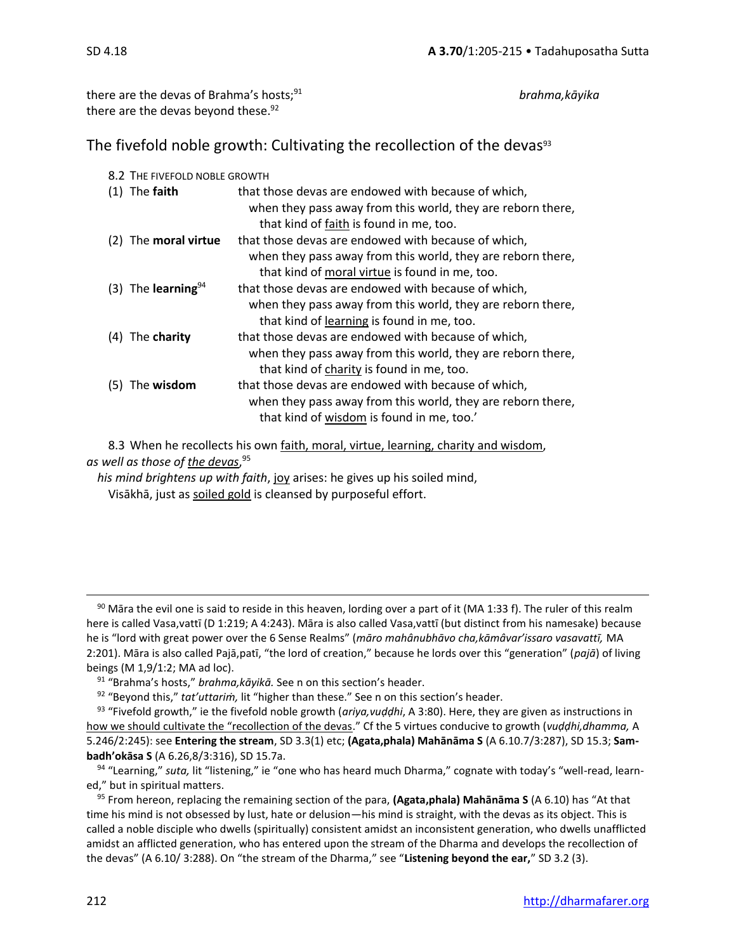there are the devas of Brahma's hosts;<sup>91</sup> *brahma,kāyika* there are the devas beyond these.<sup>92</sup>

The fivefold noble growth: Cultivating the recollection of the devas $93$ 

|     | 8.2 THE FIVEFOLD NOBLE GROWTH |                                                                                                                                                                      |  |  |
|-----|-------------------------------|----------------------------------------------------------------------------------------------------------------------------------------------------------------------|--|--|
|     | $(1)$ The faith               | that those devas are endowed with because of which,<br>when they pass away from this world, they are reborn there,<br>that kind of faith is found in me, too.        |  |  |
| (2) | The <b>moral virtue</b>       | that those devas are endowed with because of which,<br>when they pass away from this world, they are reborn there,<br>that kind of moral virtue is found in me, too. |  |  |
|     | (3) The learning $94$         | that those devas are endowed with because of which,<br>when they pass away from this world, they are reborn there,<br>that kind of learning is found in me, too.     |  |  |
| (4) | The charity                   | that those devas are endowed with because of which,<br>when they pass away from this world, they are reborn there,<br>that kind of charity is found in me, too.      |  |  |
| (5) | The <b>wisdom</b>             | that those devas are endowed with because of which,<br>when they pass away from this world, they are reborn there,<br>that kind of wisdom is found in me, too.'      |  |  |

8.3 When he recollects his own faith, moral, virtue, learning, charity and wisdom, *as well as those of the devas*, 95

*his mind brightens up with faith*, joy arises: he gives up his soiled mind, Visākhā, just as soiled gold is cleansed by purposeful effort.

 $90$  Māra the evil one is said to reside in this heaven, lording over a part of it (MA 1:33 f). The ruler of this realm here is called Vasa,vattī (D 1:219; A 4:243). Māra is also called Vasa,vattī (but distinct from his namesake) because he is "lord with great power over the 6 Sense Realms" (*māro mahânubhāvo cha,kāmâvar'issaro vasavattī,* MA 2:201). Māra is also called Pajā,patī, "the lord of creation," because he lords over this "generation" (*pajā*) of living beings (M 1,9/1:2; MA ad loc).

<sup>91</sup> "Brahma's hosts," *brahma,kāyikā.* See n on this section's header.

<sup>92</sup> "Beyond this," *tat'uttariṁ,* lit "higher than these." See n on this section's header.

<sup>93</sup> "Fivefold growth," ie the fivefold noble growth (*ariya,vuḍḍhi*, A 3:80). Here, they are given as instructions in how we should cultivate the "recollection of the devas." Cf the 5 virtues conducive to growth (*vuḍḍhi,dhamma,* A 5.246/2:245): see **Entering the stream**, SD 3.3(1) etc; **(Agata,phala) Mahānāma S** (A 6.10.7/3:287), SD 15.3; **Sambadh'okāsa S** (A 6.26,8/3:316), SD 15.7a.

<sup>94</sup> "Learning," *suta,* lit "listening," ie "one who has heard much Dharma," cognate with today's "well-read, learned," but in spiritual matters.

<sup>95</sup> From hereon, replacing the remaining section of the para, **(Agata,phala) Mahānāma S** (A 6.10) has "At that time his mind is not obsessed by lust, hate or delusion—his mind is straight, with the devas as its object. This is called a noble disciple who dwells (spiritually) consistent amidst an inconsistent generation, who dwells unafflicted amidst an afflicted generation, who has entered upon the stream of the Dharma and develops the recollection of the devas" (A 6.10/ 3:288). On "the stream of the Dharma," see "**Listening beyond the ear,**" SD 3.2 (3).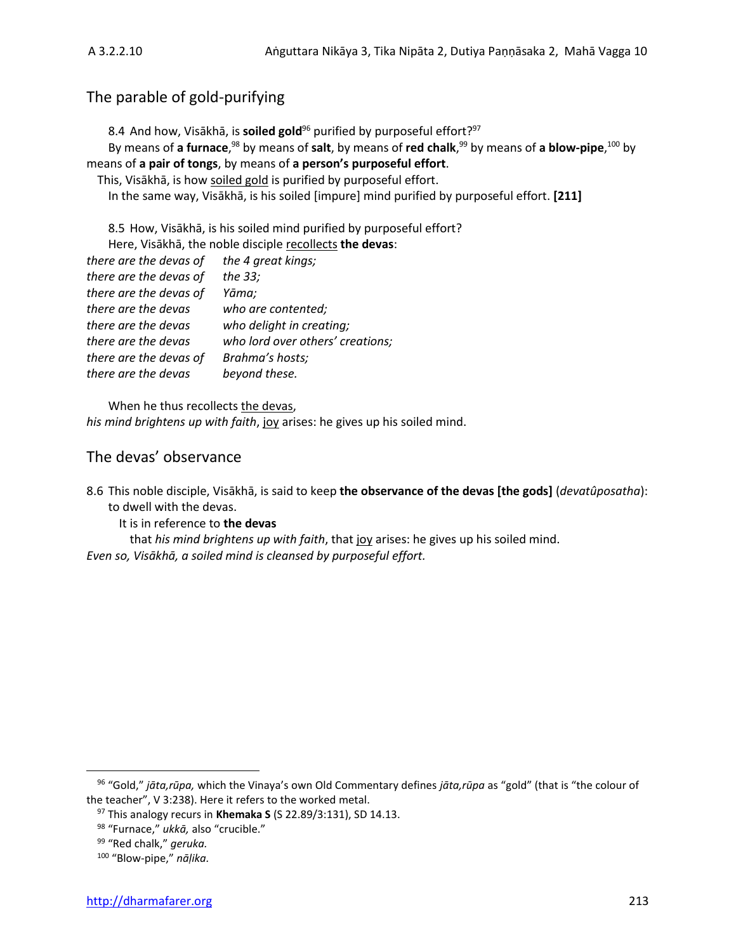# The parable of gold-purifying

8.4 And how, Visākhā, is **soiled gold**<sup>96</sup> purified by purposeful effort? 97

By means of **a furnace**, <sup>98</sup> by means of **salt**, by means of **red chalk**, <sup>99</sup> by means of **a blow-pipe**, <sup>100</sup> by means of **a pair of tongs**, by means of **a person's purposeful effort**.

This, Visākhā, is how soiled gold is purified by purposeful effort.

In the same way, Visākhā, is his soiled [impure] mind purified by purposeful effort. **[211]**

8.5 How, Visākhā, is his soiled mind purified by purposeful effort? Here, Visākhā, the noble disciple recollects **the devas**:

| there are the devas of | the 4 great kings;               |
|------------------------|----------------------------------|
| there are the devas of | the 33;                          |
| there are the devas of | Yāma;                            |
| there are the devas    | who are contented;               |
| there are the devas    | who delight in creating;         |
| there are the devas    | who lord over others' creations; |
| there are the devas of | Brahma's hosts;                  |
| there are the devas    | beyond these.                    |
|                        |                                  |

When he thus recollects the devas, *his mind brightens up with faith*, joy arises: he gives up his soiled mind.

# The devas' observance

8.6 This noble disciple, Visākhā, is said to keep **the observance of the devas [the gods]** (*devatûposatha*): to dwell with the devas.

It is in reference to **the devas**

that *his mind brightens up with faith*, that joy arises: he gives up his soiled mind. *Even so, Visākhā, a soiled mind is cleansed by purposeful effort.*

<sup>96</sup> "Gold," *jāta,rūpa,* which the Vinaya's own Old Commentary defines *jāta,rūpa* as "gold" (that is "the colour of the teacher", V 3:238). Here it refers to the worked metal.

<sup>97</sup> This analogy recurs in **Khemaka S** (S 22.89/3:131), SD 14.13.

<sup>98</sup> "Furnace," *ukkā,* also "crucible."

<sup>99</sup> "Red chalk," *geruka.*

<sup>100</sup> "Blow-pipe," *nāḷika.*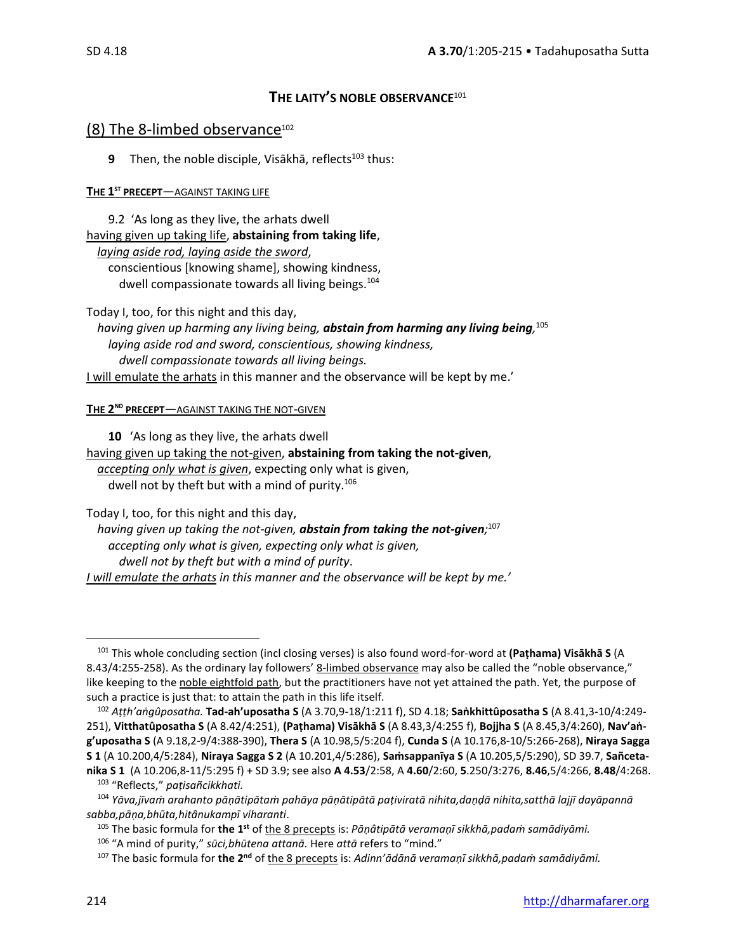# **THE LAITY'S NOBLE OBSERVANCE**<sup>101</sup>

# (8) The 8-limbed observance $102$

**9** Then, the noble disciple, Visākhā, reflects<sup>103</sup> thus:

# **THE 1 ST PRECEPT**—AGAINST TAKING LIFE

9.2 'As long as they live, the arhats dwell having given up taking life, **abstaining from taking life**, *laying aside rod, laying aside the sword*, conscientious [knowing shame], showing kindness, dwell compassionate towards all living beings.<sup>104</sup>

Today I, too, for this night and this day, *having given up harming any living being, abstain from harming any living being,* 105 *laying aside rod and sword, conscientious, showing kindness, dwell compassionate towards all living beings.* I will emulate the arhats in this manner and the observance will be kept by me.'

#### **THE 2 ND PRECEPT**—AGAINST TAKING THE NOT-GIVEN

**10** 'As long as they live, the arhats dwell having given up taking the not-given, **abstaining from taking the not-given**, *accepting only what is given*, expecting only what is given, dwell not by theft but with a mind of purity.<sup>106</sup>

Today I, too, for this night and this day,

*having given up taking the not-given, abstain from taking the not-given;* 107 *accepting only what is given, expecting only what is given, dwell not by theft but with a mind of purity*. *I will emulate the arhats in this manner and the observance will be kept by me.'*

<sup>106</sup> "A mind of purity," *sūci,bhūtena attanā.* Here *attā* refers to "mind."

<sup>101</sup> This whole concluding section (incl closing verses) is also found word-for-word at **(Paṭhama) Visākhā S** (A 8.43/4:255-258). As the ordinary lay followers' 8-limbed observance may also be called the "noble observance," like keeping to the noble eightfold path, but the practitioners have not yet attained the path. Yet, the purpose of such a practice is just that: to attain the path in this life itself.

<sup>102</sup> *Aṭṭh'aṅgûposatha.* **Tad-ah'uposatha S** (A 3.70,9-18/1:211 f), SD 4.18; **Saṅkhittûposatha S** (A 8.41,3-10/4:249- 251), **Vitthatûposatha S** (A 8.42/4:251), **(Paṭhama) Visākhā S** (A 8.43,3/4:255 f), **Bojjha S** (A 8.45,3/4:260), **Nav'aṅg'uposatha S** (A 9.18,2-9/4:388-390), **Thera S** (A 10.98,5/5:204 f), **Cunda S** (A 10.176,8-10/5:266-268), **Niraya Sagga S 1** (A 10.200,4/5:284), **Niraya Sagga S 2** (A 10.201,4/5:286), **Saṁsappanīya S** (A 10.205,5/5:290), SD 39.7, **Sañcetanika S 1** (A 10.206,8-11/5:295 f) + SD 3.9; see also **A 4.53**/2:58, A **4.60**/2:60, **5**.250/3:276, **8.46**,5/4:266, **8.48**/4:268.

<sup>103</sup> "Reflects," *paṭisañcikkhati.* <sup>104</sup> *Yāva,jīvaṁ arahanto pāṇātipātaṁ pahāya pāṇātipātā paṭiviratā nihita,daṇḍā nihita,satthā lajjī dayāpannā sabba,pāṇa,bhūta,hitânukampī viharanti*.

<sup>105</sup> The basic formula for **the 1st** of the 8 precepts is: *Pāṇâtipātā veramaṇī sikkhā,padaṁ samādiyāmi.*

<sup>107</sup> The basic formula for **the 2nd** of the 8 precepts is: *Adinn'ādānā veramaṇī sikkhā,padaṁ samādiyāmi.*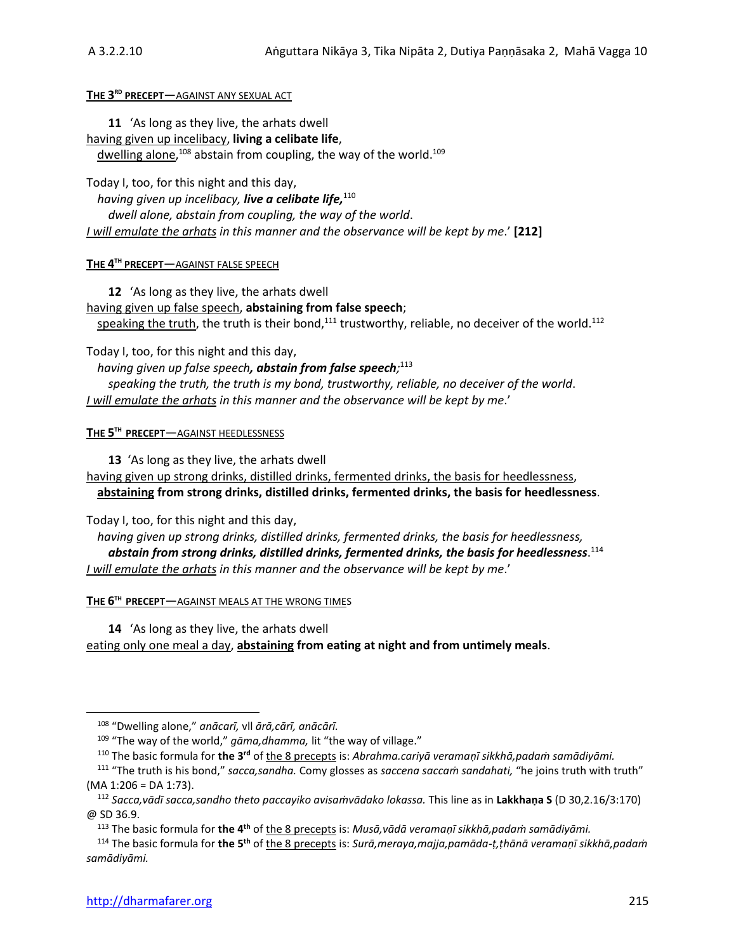#### **THE 3 RD PRECEPT**—AGAINST ANY SEXUAL ACT

**11** 'As long as they live, the arhats dwell having given up incelibacy, **living a celibate life**, dwelling alone,<sup>108</sup> abstain from coupling, the way of the world.<sup>109</sup>

Today I, too, for this night and this day,

*having given up incelibacy, live a celibate life,* 110 *dwell alone, abstain from coupling, the way of the world*. *I will emulate the arhats in this manner and the observance will be kept by me*.' **[212]**

**THE 4 TH PRECEPT**—AGAINST FALSE SPEECH

**12** 'As long as they live, the arhats dwell having given up false speech, **abstaining from false speech**; speaking the truth, the truth is their bond, $111$  trustworthy, reliable, no deceiver of the world.<sup>112</sup>

Today I, too, for this night and this day,

*having given up false speech, abstain from false speech;* 113

*speaking the truth, the truth is my bond, trustworthy, reliable, no deceiver of the world*. *I will emulate the arhats in this manner and the observance will be kept by me*.'

**THE 5 TH PRECEPT**—AGAINST HEEDLESSNESS

**13** 'As long as they live, the arhats dwell having given up strong drinks, distilled drinks, fermented drinks, the basis for heedlessness, **abstaining from strong drinks, distilled drinks, fermented drinks, the basis for heedlessness**.

Today I, too, for this night and this day,

*having given up strong drinks, distilled drinks, fermented drinks, the basis for heedlessness, abstain from strong drinks, distilled drinks, fermented drinks, the basis for heedlessness*. 114 *I will emulate the arhats in this manner and the observance will be kept by me*.'

**THE 6 TH PRECEPT**—AGAINST MEALS AT THE WRONG TIMES

**14** 'As long as they live, the arhats dwell eating only one meal a day, **abstaining from eating at night and from untimely meals**.

<sup>113</sup> The basic formula for **the 4th** of the 8 precepts is: *Musā,vādā veramaṇī sikkhā,padaṁ samādiyāmi.*

<sup>114</sup> The basic formula for **the 5th** of the 8 precepts is: *Surā,meraya,majja,pamāda-ṭ,ṭhānā veramaṇī sikkhā,padaṁ samādiyāmi.*

<sup>108</sup> "Dwelling alone," *anācarī,* vll *ārā,cārī, anācārī.*

<sup>&</sup>lt;sup>109</sup> "The way of the world," *gāma,dhamma*, lit "the way of village."

<sup>110</sup> The basic formula for **the 3rd** of the 8 precepts is: *Abrahma.cariyā veramaṇī sikkhā,padaṁ samādiyāmi.*

<sup>111</sup> "The truth is his bond," *sacca,sandha.* Comy glosses as *saccena saccaṁ sandahati,* "he joins truth with truth" (MA 1:206 = DA 1:73).

<sup>112</sup> *Sacca,vādī sacca,sandho theto paccayiko avisaṁvādako lokassa.* This line as in **Lakkhaṇa S** (D 30,2.16/3:170) @ SD 36.9.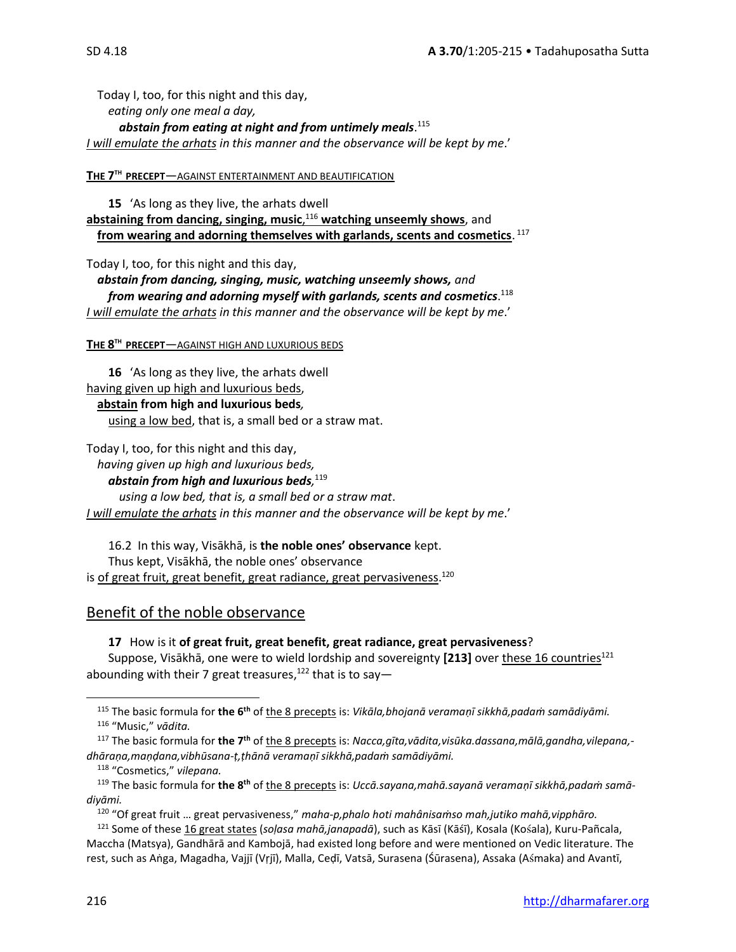Today I, too, for this night and this day, *eating only one meal a day, abstain from eating at night and from untimely meals*. 115 *I will emulate the arhats in this manner and the observance will be kept by me*.'

### **THE 7 TH PRECEPT**—AGAINST ENTERTAINMENT AND BEAUTIFICATION

**15** 'As long as they live, the arhats dwell **abstaining from dancing, singing, music**, <sup>116</sup> **watching unseemly shows**, and **from wearing and adorning themselves with garlands, scents and cosmetics**. 117

Today I, too, for this night and this day,

*abstain from dancing, singing, music, watching unseemly shows, and from wearing and adorning myself with garlands, scents and cosmetics*. 118 *I will emulate the arhats in this manner and the observance will be kept by me*.'

#### **THE 8 TH PRECEPT**—AGAINST HIGH AND LUXURIOUS BEDS

**16** 'As long as they live, the arhats dwell having given up high and luxurious beds,

**abstain from high and luxurious beds***,* using a low bed, that is, a small bed or a straw mat.

Today I, too, for this night and this day,

*having given up high and luxurious beds,* 

*abstain from high and luxurious beds,* 119

*using a low bed, that is, a small bed or a straw mat*. *I will emulate the arhats in this manner and the observance will be kept by me*.'

16.2In this way, Visākhā, is **the noble ones' observance** kept. Thus kept, Visākhā, the noble ones' observance is <u>of great fruit, great benefit, great radiance, great pervasiveness</u>.<sup>120</sup>

# Benefit of the noble observance

**17** How is it **of great fruit, great benefit, great radiance, great pervasiveness**? Suppose, Visākhā, one were to wield lordship and sovereignty **[213]** over these 16 countries<sup>121</sup> abounding with their 7 great treasures,<sup>122</sup> that is to say—

<sup>115</sup> The basic formula for **the 6th** of the 8 precepts is: *Vikāla,bhojanā veramaṇī sikkhā,padaṁ samādiyāmi.* <sup>116</sup> "Music," *vādita.*

<sup>117</sup> The basic formula for **the 7th** of the 8 precepts is: *Nacca,gīta,vādita,visūka.dassana,mālā,gandha,vilepana, dhāraṇa,maṇḍana,vibhūsana-ṭ,ṭhānā veramaṇī sikkhā,padaṁ samādiyāmi.*

<sup>118</sup> "Cosmetics," *vilepana.*

<sup>119</sup> The basic formula for **the 8th** of the 8 precepts is: *Uccā.sayana,mahā.sayanā veramaṇī sikkhā,padaṁ samādiyāmi.*

<sup>120</sup> "Of great fruit … great pervasiveness," *maha-p,phalo hoti mahânisaṁso mah,jutiko mahā,vipphāro.*

<sup>&</sup>lt;sup>121</sup> Some of these 16 great states (soļasa mahā,janapadā), such as Kāsī (Kāśī), Kosala (Kośala), Kuru-Pañcala, Maccha (Matsya), Gandhārā and Kambojā, had existed long before and were mentioned on Vedic literature. The rest, such as Aṅga, Magadha, Vajjī (Vṛjī), Malla, Ceḍī, Vatsā, Surasena (Śūrasena), Assaka (Amaka) and Avantī,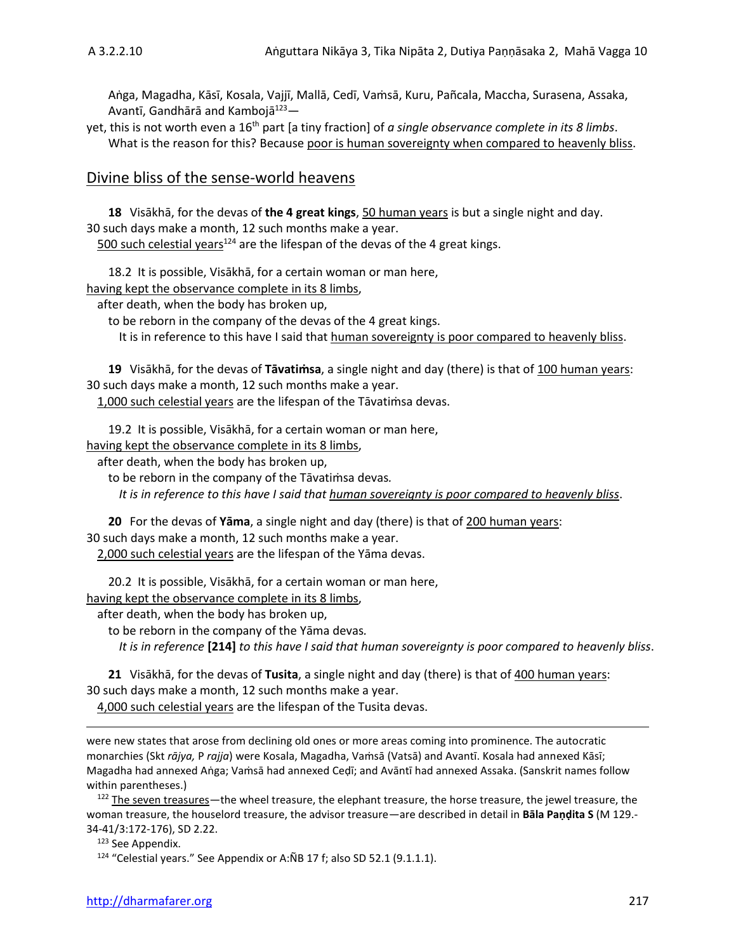Aṅga, Magadha, Kāsī, Kosala, Vajjī, Mallā, Cedī, Vaṁsā, Kuru, Pañcala, Maccha, Surasena, Assaka, Avantī, Gandhārā and Kambojā<sup>123</sup>—

yet, this is not worth even a 16th part [a tiny fraction] of *a single observance complete in its 8 limbs*. What is the reason for this? Because poor is human sovereignty when compared to heavenly bliss.

### Divine bliss of the sense-world heavens

**18** Visākhā, for the devas of **the 4 great kings**, 50 human years is but a single night and day. 30 such days make a month, 12 such months make a year.

 $500$  such celestial years<sup>124</sup> are the lifespan of the devas of the 4 great kings.

18.2 It is possible, Visākhā, for a certain woman or man here,

having kept the observance complete in its 8 limbs,

after death, when the body has broken up,

to be reborn in the company of the devas of the 4 great kings.

It is in reference to this have I said that human sovereignty is poor compared to heavenly bliss.

**19** Visākhā, for the devas of **Tāvatiṁsa**, a single night and day (there) is that of 100 human years: 30 such days make a month, 12 such months make a year.

1,000 such celestial years are the lifespan of the Tāvatiṁsa devas.

19.2 It is possible, Visākhā, for a certain woman or man here,

having kept the observance complete in its 8 limbs,

after death, when the body has broken up,

to be reborn in the company of the Tāvatiṁsa devas*.*

*It is in reference to this have I said that human sovereignty is poor compared to heavenly bliss*.

**20** For the devas of **Yāma**, a single night and day (there) is that of 200 human years: 30 such days make a month, 12 such months make a year.

2,000 such celestial years are the lifespan of the Yāma devas.

20.2 It is possible, Visākhā, for a certain woman or man here,

having kept the observance complete in its 8 limbs,

after death, when the body has broken up,

to be reborn in the company of the Yāma devas*.*

*It is in reference* **[214]** *to this have I said that human sovereignty is poor compared to heavenly bliss*.

**21** Visākhā, for the devas of **Tusita**, a single night and day (there) is that of 400 human years: 30 such days make a month, 12 such months make a year.

4,000 such celestial years are the lifespan of the Tusita devas.

were new states that arose from declining old ones or more areas coming into prominence. The autocratic monarchies (Skt *rājya,* P *rajja*) were Kosala, Magadha, Vaṁsā (Vatsā) and Avantī. Kosala had annexed Kāsī; Magadha had annexed Aṅga; Vaṁsā had annexed Ceḍī; and Avāntī had annexed Assaka. (Sanskrit names follow within parentheses.)

<sup>122</sup> The seven treasures—the wheel treasure, the elephant treasure, the horse treasure, the jewel treasure, the woman treasure, the houselord treasure, the advisor treasure—are described in detail in **Bāla Paṇḍita S** (M 129.- 34-41/3:172-176), SD 2.22.

<sup>123</sup> See Appendix.

<sup>124</sup> "Celestial years." See Appendix or A:ÑB 17 f; also SD 52.1 (9.1.1.1).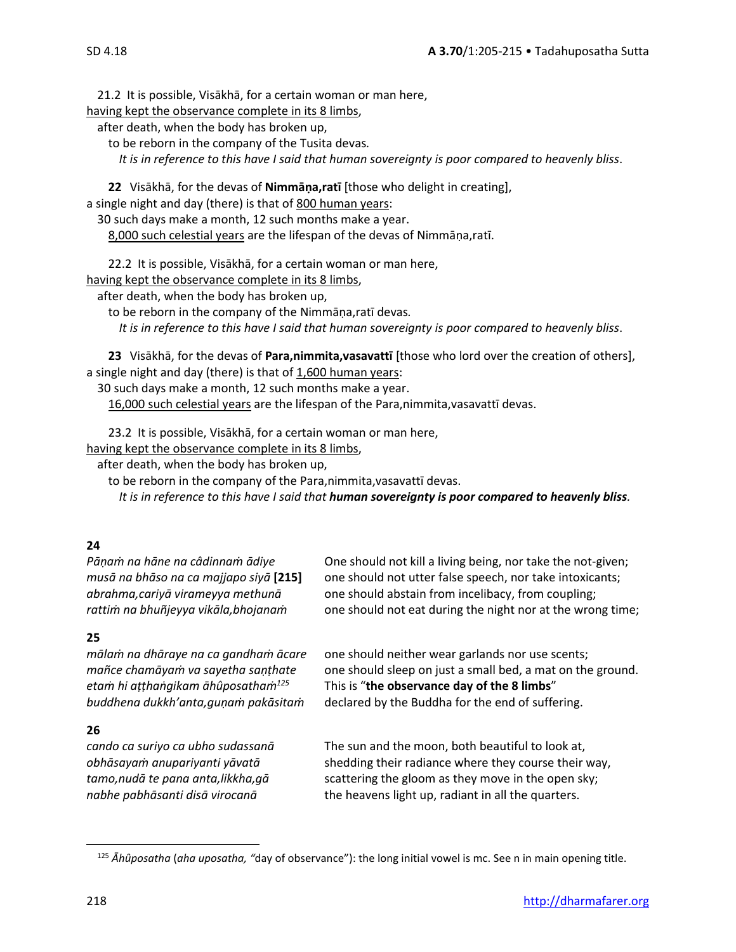21.2 It is possible, Visākhā, for a certain woman or man here,

having kept the observance complete in its 8 limbs,

after death, when the body has broken up,

to be reborn in the company of the Tusita devas*.*

*It is in reference to this have I said that human sovereignty is poor compared to heavenly bliss*.

**22** Visākhā, for the devas of **Nimmāṇa,ratī** [those who delight in creating],

a single night and day (there) is that of 800 human years:

30 such days make a month, 12 such months make a year.

8,000 such celestial years are the lifespan of the devas of Nimmāṇa,ratī.

22.2 It is possible, Visākhā, for a certain woman or man here,

having kept the observance complete in its 8 limbs,

after death, when the body has broken up,

to be reborn in the company of the Nimmāṇa,ratī devas*.*

*It is in reference to this have I said that human sovereignty is poor compared to heavenly bliss*.

**23** Visākhā, for the devas of **Para,nimmita,vasavattī** [those who lord over the creation of others], a single night and day (there) is that of 1,600 human years:

30 such days make a month, 12 such months make a year.

16,000 such celestial years are the lifespan of the Para,nimmita,vasavattī devas.

23.2 It is possible, Visākhā, for a certain woman or man here,

having kept the observance complete in its 8 limbs,

after death, when the body has broken up,

to be reborn in the company of the Para,nimmita,vasavattī devas.

*It is in reference to this have I said that human sovereignty is poor compared to heavenly bliss.*

# **24**

# **25**

# **26**

*Pāṇaṁ na hāne na câdinnaṁ ādiye* One should not kill a living being, nor take the not-given; *musā na bhāso na ca majjapo siyā* **[215]** one should not utter false speech, nor take intoxicants; *abrahma,cariyā virameyya methunā* one should abstain from incelibacy, from coupling; *rattiṁ na bhuñjeyya vikāla,bhojanaṁ* one should not eat during the night nor at the wrong time;

*mālaṁ na dhāraye na ca gandhaṁ ācare* one should neither wear garlands nor use scents; *mañce chamāyaṁ va sayetha saṇṭhate* one should sleep on just a small bed, a mat on the ground. *etaṁ hi aṭṭhaṅgikam āhûposathaṁ<sup>125</sup>* This is "**the observance day of the 8 limbs**" *buddhena dukkh'anta,guṇaṁ pakāsitaṁ* declared by the Buddha for the end of suffering.

*cando ca suriyo ca ubho sudassanā* The sun and the moon, both beautiful to look at, *obhāsayam anupariyanti yāvatā* shedding their radiance where they course their way, *tamo,nudā te pana anta,likkha, qā* scattering the gloom as they move in the open sky; *nabhe pabhāsanti disā virocanā* the heavens light up, radiant in all the quarters.

<sup>125</sup> *Āhȗposatha* (*aha uposatha, "*day of observance"): the long initial vowel is mc. See n in main opening title.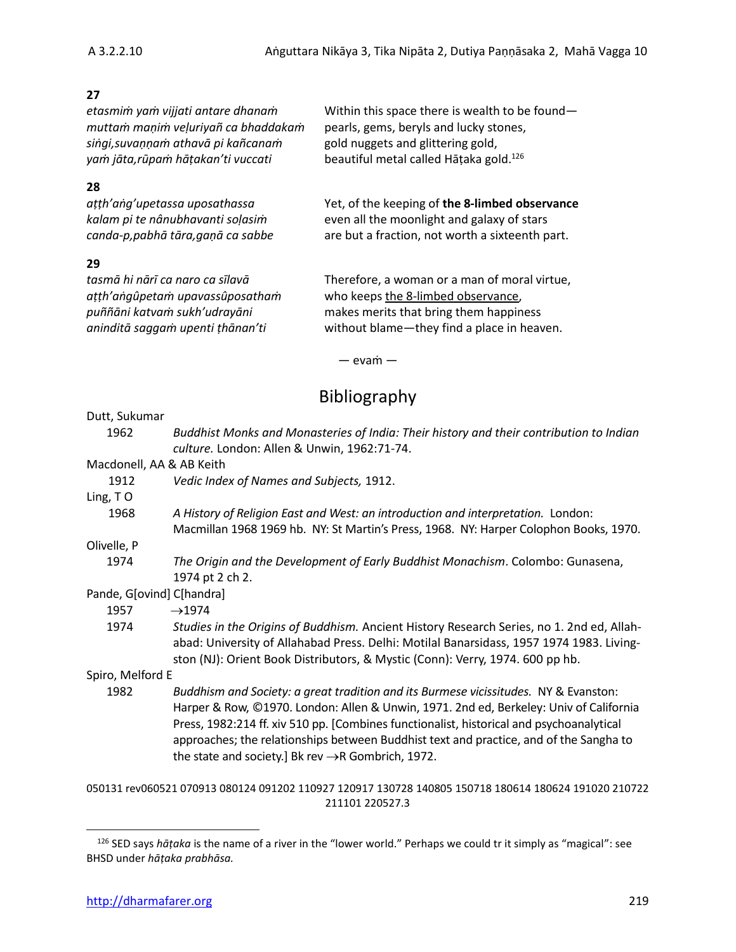# **27**

*muttaṁ maṇiṁ veḷuriyañ ca bhaddakaṁ* pearls, gems, beryls and lucky stones, *siṅgi,suvaṇṇaṁ athavā pi kañcanaṁ* gold nuggets and glittering gold, *yaṁ jāta,rūpaṁ hāṭakan'ti vuccati* beautiful metal called Hāṭaka gold.

# **28**

# **29**

*etasmiṁ yaṁ vijjati antare dhanaṁ* Within this space there is wealth to be found beautiful metal called Hātaka gold.<sup>126</sup>

*aṭṭh'aṅg'upetassa uposathassa* Yet, of the keeping of **the 8-limbed observance** *kalam pi te nânubhavanti soḷasiṁ* even all the moonlight and galaxy of stars *canda-p,pabhā tāra,gaṇā ca sabbe* are but a fraction, not worth a sixteenth part.

*tasmā hi nārī ca naro ca sīlavā* Therefore, a woman or a man of moral virtue, *aṭṭh'aṅgûpetaṁ upavassûposathaṁ* who keeps the 8-limbed observance, *puññāni katvaṁ sukh'udrayāni* makes merits that bring them happiness *aninditā saggaṁ upenti ṭhānan'ti* without blame—they find a place in heaven.

— evaṁ —

# Bibliography

#### Dutt, Sukumar

- 1962 *Buddhist Monks and Monasteries of India: Their history and their contribution to Indian culture.* London: Allen & Unwin, 1962:71-74. Macdonell, AA & AB Keith 1912 *Vedic Index of Names and Subjects,* 1912. Ling, T O 1968 *A History of Religion East and West: an introduction and interpretation.* London: Macmillan 1968 1969 hb. NY: St Martin's Press, 1968. NY: Harper Colophon Books, 1970. Olivelle, P 1974 *The Origin and the Development of Early Buddhist Monachism*. Colombo: Gunasena, 1974 pt 2 ch 2. Pande, G[ovind] C[handra] 1957  $\rightarrow$ 1974
	- 1974 *Studies in the Origins of Buddhism.* Ancient History Research Series, no 1. 2nd ed, Allahabad: University of Allahabad Press. Delhi: Motilal Banarsidass, 1957 1974 1983. Livingston (NJ): Orient Book Distributors, & Mystic (Conn): Verry, 1974. 600 pp hb.

Spiro, Melford E

1982 *Buddhism and Society: a great tradition and its Burmese vicissitudes.* NY & Evanston: Harper & Row, ©1970. London: Allen & Unwin, 1971. 2nd ed, Berkeley: Univ of California Press, 1982:214 ff. xiv 510 pp. [Combines functionalist, historical and psychoanalytical approaches; the relationships between Buddhist text and practice, and of the Sangha to the state and society.] Bk rev  $\rightarrow$ R Gombrich, 1972.

050131 rev060521 070913 080124 091202 110927 120917 130728 140805 150718 180614 180624 191020 210722 211101 220527.3

<sup>126</sup> SED says *hāṭaka* is the name of a river in the "lower world." Perhaps we could tr it simply as "magical": see BHSD under *hāṭaka prabhāsa.*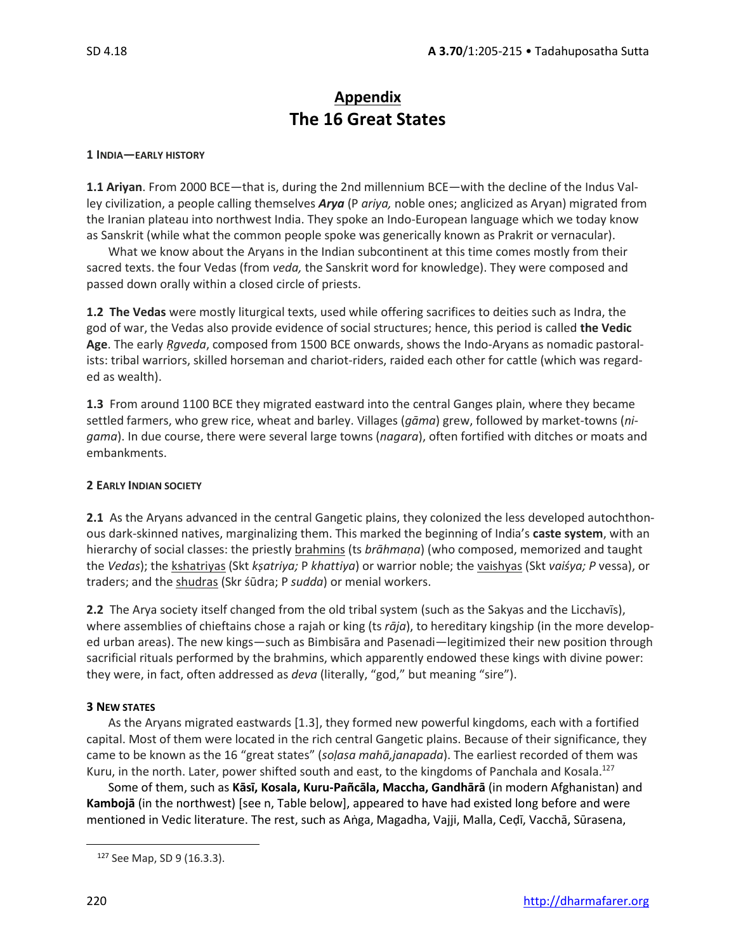# **Appendix The 16 Great States**

#### **1 INDIA—EARLY HISTORY**

**1.1 Ariyan**. From 2000 BCE—that is, during the 2nd millennium BCE—with the decline of the Indus Valley civilization, a people calling themselves *Arya* (P *ariya,* noble ones; anglicized as Aryan) migrated from the Iranian plateau into northwest India. They spoke an Indo-European language which we today know as Sanskrit (while what the common people spoke was generically known as Prakrit or vernacular).

What we know about the Aryans in the Indian subcontinent at this time comes mostly from their sacred texts. the four Vedas (from *veda,* the Sanskrit word for knowledge). They were composed and passed down orally within a closed circle of priests.

**1.2 The Vedas** were mostly liturgical texts, used while offering sacrifices to deities such as Indra, the god of war, the Vedas also provide evidence of social structures; hence, this period is called **the Vedic Age**. The early *Ṛgveda*, composed from 1500 BCE onwards, shows the Indo-Aryans as nomadic pastoralists: tribal warriors, skilled horseman and chariot-riders, raided each other for cattle (which was regarded as wealth).

**1.3** From around 1100 BCE they migrated eastward into the central Ganges plain, where they became settled farmers, who grew rice, wheat and barley. Villages (*gāma*) grew, followed by market-towns (*nigama*). In due course, there were several large towns (*nagara*), often fortified with ditches or moats and embankments.

#### **2 EARLY INDIAN SOCIETY**

**2.1** As the Aryans advanced in the central Gangetic plains, they colonized the less developed autochthonous dark-skinned natives, marginalizing them. This marked the beginning of India's **caste system**, with an hierarchy of social classes: the priestly brahmins (ts *brāhmaṇa*) (who composed, memorized and taught the *Vedas*); the kshatriyas (Skt *kṣatriya;* P *khattiya*) or warrior noble; the vaishyas (Skt *vaiśya; P* vessa), or traders; and the shudras (Skr śūdra; P *sudda*) or menial workers.

**2.2** The Arya society itself changed from the old tribal system (such as the Sakyas and the Licchavīs), where assemblies of chieftains chose a rajah or king (ts *rāja*), to hereditary kingship (in the more developed urban areas). The new kings—such as Bimbisāra and Pasenadi—legitimized their new position through sacrificial rituals performed by the brahmins, which apparently endowed these kings with divine power: they were, in fact, often addressed as *deva* (literally, "god," but meaning "sire").

#### **3 NEW STATES**

As the Aryans migrated eastwards [1.3], they formed new powerful kingdoms, each with a fortified capital. Most of them were located in the rich central Gangetic plains. Because of their significance, they came to be known as the 16 "great states" (*soḷasa mahā,janapada*). The earliest recorded of them was Kuru, in the north. Later, power shifted south and east, to the kingdoms of Panchala and Kosala.<sup>127</sup>

Some of them, such as **Kāsī, Kosala, Kuru-Pañcāla, Maccha, Gandhārā** (in modern Afghanistan) and **Kambojā** (in the northwest) [see n, Table below], appeared to have had existed long before and were mentioned in Vedic literature. The rest, such as Aṅga, Magadha, Vajji, Malla, Ceḍī, Vacchā, Sūrasena,

<sup>127</sup> See Map, SD 9 (16.3.3).